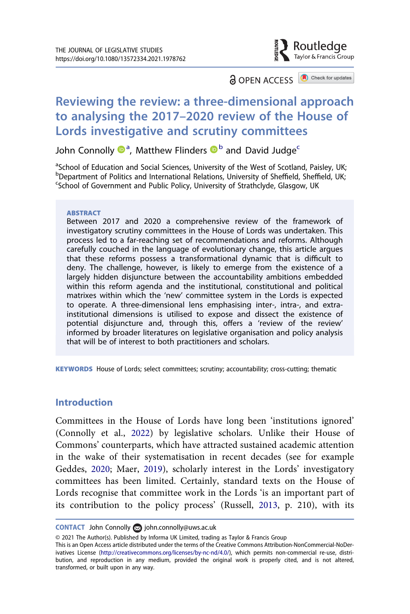

**a** OPEN ACCESS **a** Check for updates

# Reviewing the review: a three-dimensional approach to analysing the 2017–2020 review of the House of Lords investigative and scrutiny committees

John Connolly  $\mathbf{D}^{a}$ , Matthew Flinders  $\mathbf{D}^{b}$  and David Judge<sup>c</sup>

<sup>a</sup>School of Education and Social Sciences, University of the West of Scotland, Paisley, UK; b<sub>Department of Politics</sub> and International Relations, University of Sheffield, Sheffield, UK;<br>School of Government and Public Policy University of Strathclyde, Glasgow, UK School of Government and Public Policy, University of Strathclyde, Glasgow, UK

#### **ABSTRACT**

Between 2017 and 2020 a comprehensive review of the framework of investigatory scrutiny committees in the House of Lords was undertaken. This process led to a far-reaching set of recommendations and reforms. Although carefully couched in the language of evolutionary change, this article argues that these reforms possess a transformational dynamic that is difficult to deny. The challenge, however, is likely to emerge from the existence of a largely hidden disjuncture between the accountability ambitions embedded within this reform agenda and the institutional, constitutional and political matrixes within which the 'new' committee system in the Lords is expected to operate. A three-dimensional lens emphasising inter-, intra-, and extrainstitutional dimensions is utilised to expose and dissect the existence of potential disjuncture and, through this, offers a 'review of the review' informed by broader literatures on legislative organisation and policy analysis that will be of interest to both practitioners and scholars.

KEYWORDS House of Lords; select committees; scrutiny; accountability; cross-cutting; thematic

### Introduction

<span id="page-0-1"></span><span id="page-0-0"></span>Committees in the House of Lords have long been 'institutions ignored' (Connolly et al., [2022\)](#page-32-0) by legislative scholars. Unlike their House of Commons' counterparts, which have attracted sustained academic attention in the wake of their systematisation in recent decades (see for example Geddes, [2020;](#page-33-0) Maer, [2019](#page-34-0)), scholarly interest in the Lords' investigatory committees has been limited. Certainly, standard texts on the House of Lords recognise that committee work in the Lords 'is an important part of its contribution to the policy process' (Russell, [2013,](#page-35-0) p. 210), with its

<span id="page-0-2"></span>CONTACT John Connolly ⊠ [john.connolly@uws.ac.uk](mailto:john.connolly@uws.ac.uk)

<sup>© 2021</sup> The Author(s). Published by Informa UK Limited, trading as Taylor & Francis Group

This is an Open Access article distributed under the terms of the Creative Commons Attribution-NonCommercial-NoDerivatives License (<http://creativecommons.org/licenses/by-nc-nd/4.0/>), which permits non-commercial re-use, distribution, and reproduction in any medium, provided the original work is properly cited, and is not altered, transformed, or built upon in any way.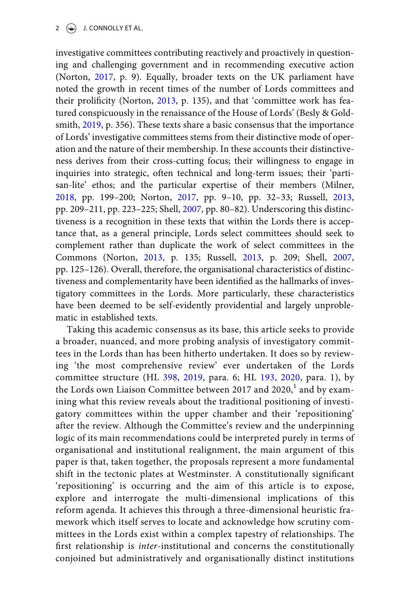<span id="page-1-4"></span><span id="page-1-2"></span><span id="page-1-0"></span>investigative committees contributing reactively and proactively in questioning and challenging government and in recommending executive action (Norton, [2017](#page-34-1), p. 9). Equally, broader texts on the UK parliament have noted the growth in recent times of the number of Lords committees and their prolificity (Norton, [2013,](#page-34-2) p. 135), and that 'committee work has featured conspicuously in the renaissance of the House of Lords' (Besly & Goldsmith, [2019](#page-32-1), p. 356). These texts share a basic consensus that the importance of Lords' investigative committees stems from their distinctive mode of operation and the nature of their membership. In these accounts their distinctiveness derives from their cross-cutting focus; their willingness to engage in inquiries into strategic, often technical and long-term issues; their 'partisan-lite' ethos; and the particular expertise of their members (Milner, [2018](#page-34-3), pp. 199–200; Norton, [2017,](#page-34-1) pp. 9–10, pp. 32–33; Russell, [2013,](#page-35-0) pp. 209–211, pp. 223–225; Shell, [2007](#page-35-1), pp. 80–82). Underscoring this distinctiveness is a recognition in these texts that within the Lords there is acceptance that, as a general principle, Lords select committees should seek to complement rather than duplicate the work of select committees in the Commons (Norton, [2013](#page-34-2), p. 135; Russell, [2013](#page-35-0), p. 209; Shell, [2007,](#page-35-1) pp. 125–126). Overall, therefore, the organisational characteristics of distinctiveness and complementarity have been identified as the hallmarks of investigatory committees in the Lords. More particularly, these characteristics have been deemed to be self-evidently providential and largely unproblematic in established texts.

<span id="page-1-3"></span><span id="page-1-1"></span>Taking this academic consensus as its base, this article seeks to provide a broader, nuanced, and more probing analysis of investigatory committees in the Lords than has been hitherto undertaken. It does so by reviewing 'the most comprehensive review' ever undertaken of the Lords committee structure (HL [398,](#page-33-1) [2019,](#page-33-1) para. 6; HL [193,](#page-33-2) [2020,](#page-33-2) para. 1), by the Lords own Liaison Committee between 20[1](#page-29-0)7 and 2020, $^1$  and by examining what this review reveals about the traditional positioning of investigatory committees within the upper chamber and their 'repositioning' after the review. Although the Committee's review and the underpinning logic of its main recommendations could be interpreted purely in terms of organisational and institutional realignment, the main argument of this paper is that, taken together, the proposals represent a more fundamental shift in the tectonic plates at Westminster. A constitutionally significant 'repositioning' is occurring and the aim of this article is to expose, explore and interrogate the multi-dimensional implications of this reform agenda. It achieves this through a three-dimensional heuristic framework which itself serves to locate and acknowledge how scrutiny committees in the Lords exist within a complex tapestry of relationships. The first relationship is inter-institutional and concerns the constitutionally conjoined but administratively and organisationally distinct institutions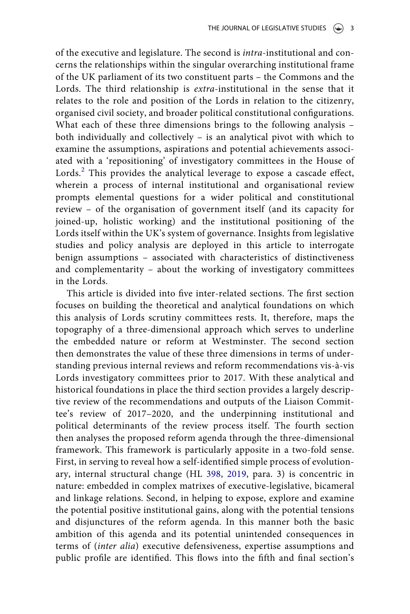of the executive and legislature. The second is intra-institutional and concerns the relationships within the singular overarching institutional frame of the UK parliament of its two constituent parts – the Commons and the Lords. The third relationship is extra-institutional in the sense that it relates to the role and position of the Lords in relation to the citizenry, organised civil society, and broader political constitutional configurations. What each of these three dimensions brings to the following analysis – both individually and collectively – is an analytical pivot with which to examine the assumptions, aspirations and potential achievements associated with a 'repositioning' of investigatory committees in the House of Lords.<sup>[2](#page-29-1)</sup> This provides the analytical leverage to expose a cascade effect, wherein a process of internal institutional and organisational review prompts elemental questions for a wider political and constitutional review – of the organisation of government itself (and its capacity for joined-up, holistic working) and the institutional positioning of the Lords itself within the UK's system of governance. Insights from legislative studies and policy analysis are deployed in this article to interrogate benign assumptions – associated with characteristics of distinctiveness and complementarity – about the working of investigatory committees in the Lords.

This article is divided into five inter-related sections. The first section focuses on building the theoretical and analytical foundations on which this analysis of Lords scrutiny committees rests. It, therefore, maps the topography of a three-dimensional approach which serves to underline the embedded nature or reform at Westminster. The second section then demonstrates the value of these three dimensions in terms of understanding previous internal reviews and reform recommendations vis-à-vis Lords investigatory committees prior to 2017. With these analytical and historical foundations in place the third section provides a largely descriptive review of the recommendations and outputs of the Liaison Committee's review of 2017–2020, and the underpinning institutional and political determinants of the review process itself. The fourth section then analyses the proposed reform agenda through the three-dimensional framework. This framework is particularly apposite in a two-fold sense. First, in serving to reveal how a self-identified simple process of evolutionary, internal structural change (HL [398](#page-33-1), [2019,](#page-33-1) para. 3) is concentric in nature: embedded in complex matrixes of executive-legislative, bicameral and linkage relations. Second, in helping to expose, explore and examine the potential positive institutional gains, along with the potential tensions and disjunctures of the reform agenda. In this manner both the basic ambition of this agenda and its potential unintended consequences in terms of (inter alia) executive defensiveness, expertise assumptions and public profile are identified. This flows into the fifth and final section's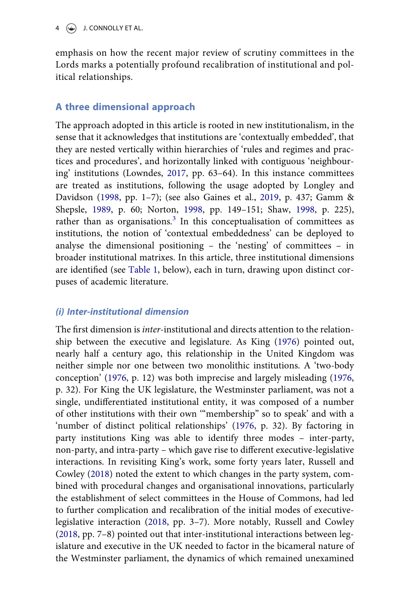emphasis on how the recent major review of scrutiny committees in the Lords marks a potentially profound recalibration of institutional and political relationships.

# A three dimensional approach

<span id="page-3-3"></span><span id="page-3-1"></span><span id="page-3-0"></span>The approach adopted in this article is rooted in new institutionalism, in the sense that it acknowledges that institutions are 'contextually embedded', that they are nested vertically within hierarchies of 'rules and regimes and practices and procedures', and horizontally linked with contiguous 'neighbouring' institutions (Lowndes, [2017,](#page-34-4) pp. 63–64). In this instance committees are treated as institutions, following the usage adopted by Longley and Davidson [\(1998](#page-34-5), pp. 1–7); (see also Gaines et al., [2019,](#page-32-2) p. 437; Gamm & Shepsle, [1989,](#page-33-3) p. 60; Norton, [1998,](#page-34-6) pp. 149–151; Shaw, [1998,](#page-35-2) p. 225), rather than as organisations. $3$  In this conceptualisation of committees as institutions, the notion of 'contextual embeddedness' can be deployed to analyse the dimensional positioning – the 'nesting' of committees – in broader institutional matrixes. In this article, three institutional dimensions are identified (see [Table 1](#page-4-0), below), each in turn, drawing upon distinct corpuses of academic literature.

### (i) Inter-institutional dimension

<span id="page-3-4"></span><span id="page-3-2"></span>The first dimension is *inter*-institutional and directs attention to the relationship between the executive and legislature. As King ([1976\)](#page-34-7) pointed out, nearly half a century ago, this relationship in the United Kingdom was neither simple nor one between two monolithic institutions. A 'two-body conception' [\(1976](#page-34-7), p. 12) was both imprecise and largely misleading ([1976,](#page-34-7) p. 32). For King the UK legislature, the Westminster parliament, was not a single, undifferentiated institutional entity, it was composed of a number of other institutions with their own '"membership" so to speak' and with a 'number of distinct political relationships' [\(1976](#page-34-7), p. 32). By factoring in party institutions King was able to identify three modes – inter-party, non-party, and intra-party – which gave rise to different executive-legislative interactions. In revisiting King's work, some forty years later, Russell and Cowley ([2018](#page-35-3)) noted the extent to which changes in the party system, combined with procedural changes and organisational innovations, particularly the establishment of select committees in the House of Commons, had led to further complication and recalibration of the initial modes of executivelegislative interaction ([2018](#page-35-3), pp. 3–7). More notably, Russell and Cowley ([2018,](#page-35-3) pp. 7–8) pointed out that inter-institutional interactions between legislature and executive in the UK needed to factor in the bicameral nature of the Westminster parliament, the dynamics of which remained unexamined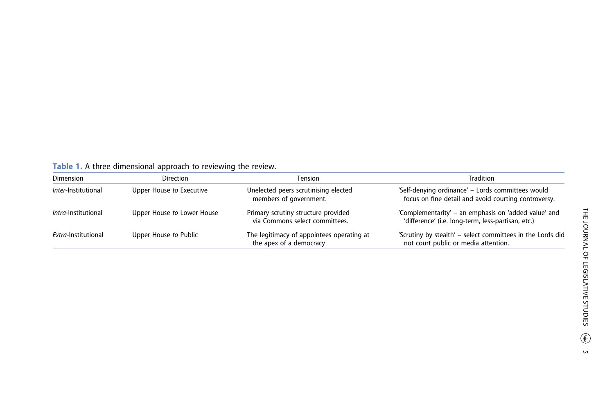<span id="page-4-0"></span>**Table 1.** A three dimensional approach to reviewing the review.

| <b>Dimension</b>           | <b>Direction</b>           | Tension                                                               | Tradition                                                                                                  |
|----------------------------|----------------------------|-----------------------------------------------------------------------|------------------------------------------------------------------------------------------------------------|
| <i>Inter-Institutional</i> | Upper House to Executive   | Unelected peers scrutinising elected<br>members of government.        | 'Self-denying ordinance' - Lords committees would<br>focus on fine detail and avoid courting controversy.  |
| <i>Intra-Institutional</i> | Upper House to Lower House | Primary scrutiny structure provided<br>via Commons select committees. | 'Complementarity' - an emphasis on 'added value' and<br>'difference' (i.e. long-term, less-partisan, etc.) |
| Extra-Institutional        | Upper House to Public      | The legitimacy of appointees operating at<br>the apex of a democracy  | 'Scrutiny by stealth' - select committees in the Lords did<br>not court public or media attention.         |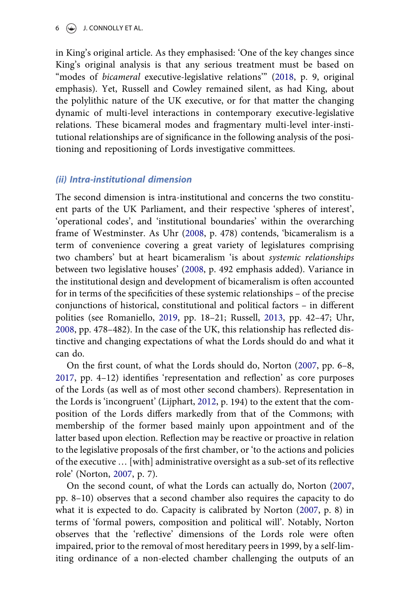$6 \quad \textcircled{\textcircled{\textcircled{\textcirc}}}$  J. CONNOLLY ET AL.

in King's original article. As they emphasised: 'One of the key changes since King's original analysis is that any serious treatment must be based on "modes of bicameral executive-legislative relations" ([2018](#page-35-3), p. 9, original emphasis). Yet, Russell and Cowley remained silent, as had King, about the polylithic nature of the UK executive, or for that matter the changing dynamic of multi-level interactions in contemporary executive-legislative relations. These bicameral modes and fragmentary multi-level inter-institutional relationships are of significance in the following analysis of the positioning and repositioning of Lords investigative committees.

### (ii) Intra-institutional dimension

The second dimension is intra-institutional and concerns the two constituent parts of the UK Parliament, and their respective 'spheres of interest', 'operational codes', and 'institutional boundaries' within the overarching frame of Westminster. As Uhr [\(2008](#page-36-0), p. 478) contends, 'bicameralism is a term of convenience covering a great variety of legislatures comprising two chambers' but at heart bicameralism 'is about systemic relationships between two legislative houses' ([2008,](#page-36-0) p. 492 emphasis added). Variance in the institutional design and development of bicameralism is often accounted for in terms of the specificities of these systemic relationships – of the precise conjunctions of historical, constitutional and political factors – in different polities (see Romaniello, [2019,](#page-35-4) pp. 18–21; Russell, [2013](#page-35-0), pp. 42–47; Uhr, [2008](#page-36-0), pp. 478–482). In the case of the UK, this relationship has reflected distinctive and changing expectations of what the Lords should do and what it can do.

<span id="page-5-2"></span><span id="page-5-0"></span>On the first count, of what the Lords should do, Norton ([2007,](#page-34-8) pp. 6–8, [2017](#page-34-1), pp. 4–12) identifies 'representation and reflection' as core purposes of the Lords (as well as of most other second chambers). Representation in the Lords is 'incongruent' (Lijphart, [2012](#page-34-9), p. 194) to the extent that the composition of the Lords differs markedly from that of the Commons; with membership of the former based mainly upon appointment and of the latter based upon election. Reflection may be reactive or proactive in relation to the legislative proposals of the first chamber, or 'to the actions and policies of the executive … [with] administrative oversight as a sub-set of its reflective role' (Norton, [2007,](#page-34-8) p. 7).

<span id="page-5-1"></span>On the second count, of what the Lords can actually do, Norton ([2007,](#page-34-8) pp. 8–10) observes that a second chamber also requires the capacity to do what it is expected to do. Capacity is calibrated by Norton [\(2007,](#page-34-8) p. 8) in terms of 'formal powers, composition and political will'. Notably, Norton observes that the 'reflective' dimensions of the Lords role were often impaired, prior to the removal of most hereditary peers in 1999, by a self-limiting ordinance of a non-elected chamber challenging the outputs of an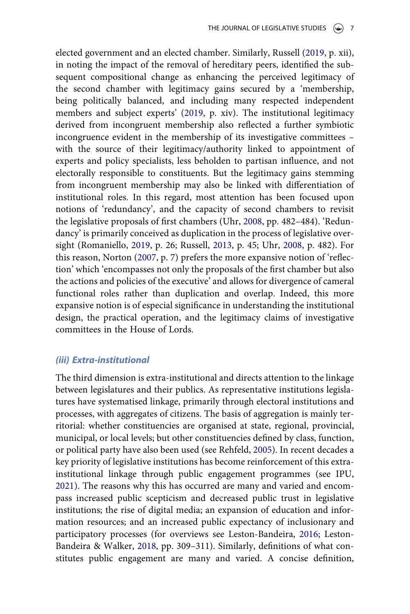<span id="page-6-4"></span>elected government and an elected chamber. Similarly, Russell ([2019](#page-35-5), p. xii), in noting the impact of the removal of hereditary peers, identified the subsequent compositional change as enhancing the perceived legitimacy of the second chamber with legitimacy gains secured by a 'membership, being politically balanced, and including many respected independent members and subject experts' [\(2019](#page-35-5), p. xiv). The institutional legitimacy derived from incongruent membership also reflected a further symbiotic incongruence evident in the membership of its investigative committees – with the source of their legitimacy/authority linked to appointment of experts and policy specialists, less beholden to partisan influence, and not electorally responsible to constituents. But the legitimacy gains stemming from incongruent membership may also be linked with differentiation of institutional roles. In this regard, most attention has been focused upon notions of 'redundancy', and the capacity of second chambers to revisit the legislative proposals of first chambers (Uhr, [2008,](#page-36-0) pp. 482–484). 'Redundancy' is primarily conceived as duplication in the process of legislative oversight (Romaniello, [2019,](#page-35-4) p. 26; Russell, [2013](#page-35-0), p. 45; Uhr, [2008,](#page-36-0) p. 482). For this reason, Norton [\(2007,](#page-34-8) p. 7) prefers the more expansive notion of 'reflection' which 'encompasses not only the proposals of the first chamber but also the actions and policies of the executive' and allows for divergence of cameral functional roles rather than duplication and overlap. Indeed, this more expansive notion is of especial significance in understanding the institutional design, the practical operation, and the legitimacy claims of investigative committees in the House of Lords.

#### (iii) Extra-institutional

<span id="page-6-3"></span><span id="page-6-2"></span><span id="page-6-1"></span><span id="page-6-0"></span>The third dimension is extra-institutional and directs attention to the linkage between legislatures and their publics. As representative institutions legislatures have systematised linkage, primarily through electoral institutions and processes, with aggregates of citizens. The basis of aggregation is mainly territorial: whether constituencies are organised at state, regional, provincial, municipal, or local levels; but other constituencies defined by class, function, or political party have also been used (see Rehfeld, [2005\)](#page-35-6). In recent decades a key priority of legislative institutions has become reinforcement of this extrainstitutional linkage through public engagement programmes (see IPU, [2021](#page-34-10)). The reasons why this has occurred are many and varied and encompass increased public scepticism and decreased public trust in legislative institutions; the rise of digital media; an expansion of education and information resources; and an increased public expectancy of inclusionary and participatory processes (for overviews see Leston-Bandeira, [2016](#page-34-11); Leston-Bandeira & Walker, [2018](#page-34-12), pp. 309–311). Similarly, definitions of what constitutes public engagement are many and varied. A concise definition,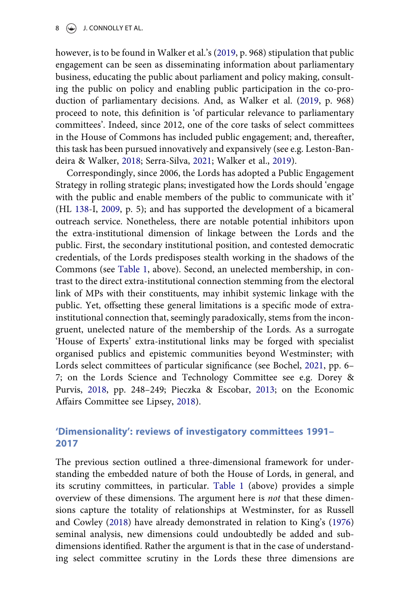however, is to be found in Walker et al.'s [\(2019](#page-36-1), p. 968) stipulation that public engagement can be seen as disseminating information about parliamentary business, educating the public about parliament and policy making, consulting the public on policy and enabling public participation in the co-production of parliamentary decisions. And, as Walker et al. ([2019](#page-36-1), p. 968) proceed to note, this definition is 'of particular relevance to parliamentary committees'. Indeed, since 2012, one of the core tasks of select committees in the House of Commons has included public engagement; and, thereafter, this task has been pursued innovatively and expansively (see e.g. Leston-Bandeira & Walker, [2018;](#page-34-12) Serra-Silva, [2021;](#page-35-7) Walker et al., [2019](#page-36-1)).

<span id="page-7-4"></span><span id="page-7-2"></span>Correspondingly, since 2006, the Lords has adopted a Public Engagement Strategy in rolling strategic plans; investigated how the Lords should 'engage with the public and enable members of the public to communicate with it' (HL [138-](#page-33-4)I, [2009](#page-33-4), p. 5); and has supported the development of a bicameral outreach service. Nonetheless, there are notable potential inhibitors upon the extra-institutional dimension of linkage between the Lords and the public. First, the secondary institutional position, and contested democratic credentials, of the Lords predisposes stealth working in the shadows of the Commons (see [Table 1](#page-4-0), above). Second, an unelected membership, in contrast to the direct extra-institutional connection stemming from the electoral link of MPs with their constituents, may inhibit systemic linkage with the public. Yet, offsetting these general limitations is a specific mode of extrainstitutional connection that, seemingly paradoxically, stems from the incongruent, unelected nature of the membership of the Lords. As a surrogate 'House of Experts' extra-institutional links may be forged with specialist organised publics and epistemic communities beyond Westminster; with Lords select committees of particular significance (see Bochel, [2021](#page-32-3), pp. 6– 7; on the Lords Science and Technology Committee see e.g. Dorey & Purvis, [2018,](#page-32-4) pp. 248–249; Pieczka & Escobar, [2013;](#page-35-8) on the Economic Affairs Committee see Lipsey, [2018\)](#page-34-13).

# <span id="page-7-3"></span><span id="page-7-1"></span><span id="page-7-0"></span>'Dimensionality': reviews of investigatory committees 1991– 2017

The previous section outlined a three-dimensional framework for understanding the embedded nature of both the House of Lords, in general, and its scrutiny committees, in particular. [Table 1](#page-4-0) (above) provides a simple overview of these dimensions. The argument here is not that these dimensions capture the totality of relationships at Westminster, for as Russell and Cowley ([2018](#page-35-3)) have already demonstrated in relation to King's [\(1976\)](#page-34-7) seminal analysis, new dimensions could undoubtedly be added and subdimensions identified. Rather the argument is that in the case of understanding select committee scrutiny in the Lords these three dimensions are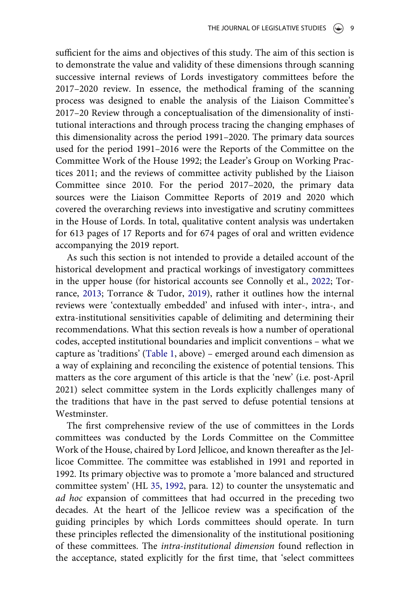sufficient for the aims and objectives of this study. The aim of this section is to demonstrate the value and validity of these dimensions through scanning successive internal reviews of Lords investigatory committees before the 2017–2020 review. In essence, the methodical framing of the scanning process was designed to enable the analysis of the Liaison Committee's 2017–20 Review through a conceptualisation of the dimensionality of institutional interactions and through process tracing the changing emphases of this dimensionality across the period 1991–2020. The primary data sources used for the period 1991–2016 were the Reports of the Committee on the Committee Work of the House 1992; the Leader's Group on Working Practices 2011; and the reviews of committee activity published by the Liaison Committee since 2010. For the period 2017–2020, the primary data sources were the Liaison Committee Reports of 2019 and 2020 which covered the overarching reviews into investigative and scrutiny committees in the House of Lords. In total, qualitative content analysis was undertaken for 613 pages of 17 Reports and for 674 pages of oral and written evidence accompanying the 2019 report.

<span id="page-8-1"></span>As such this section is not intended to provide a detailed account of the historical development and practical workings of investigatory committees in the upper house (for historical accounts see Connolly et al., [2022;](#page-32-0) Torrance, [2013;](#page-35-9) Torrance & Tudor, [2019](#page-35-10)), rather it outlines how the internal reviews were 'contextually embedded' and infused with inter-, intra-, and extra-institutional sensitivities capable of delimiting and determining their recommendations. What this section reveals is how a number of operational codes, accepted institutional boundaries and implicit conventions – what we capture as 'traditions' [\(Table 1](#page-4-0), above) – emerged around each dimension as a way of explaining and reconciling the existence of potential tensions. This matters as the core argument of this article is that the 'new' (i.e. post-April 2021) select committee system in the Lords explicitly challenges many of the traditions that have in the past served to defuse potential tensions at Westminster.

<span id="page-8-0"></span>The first comprehensive review of the use of committees in the Lords committees was conducted by the Lords Committee on the Committee Work of the House, chaired by Lord Jellicoe, and known thereafter as the Jellicoe Committee. The committee was established in 1991 and reported in 1992. Its primary objective was to promote a 'more balanced and structured committee system' (HL [35,](#page-33-5) [1992](#page-33-5), para. 12) to counter the unsystematic and ad hoc expansion of committees that had occurred in the preceding two decades. At the heart of the Jellicoe review was a specification of the guiding principles by which Lords committees should operate. In turn these principles reflected the dimensionality of the institutional positioning of these committees. The intra-institutional dimension found reflection in the acceptance, stated explicitly for the first time, that 'select committees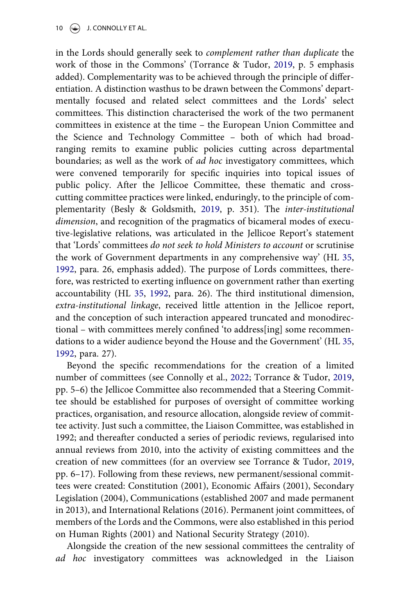in the Lords should generally seek to complement rather than duplicate the work of those in the Commons' (Torrance & Tudor, [2019,](#page-35-10) p. 5 emphasis added). Complementarity was to be achieved through the principle of differentiation. A distinction wasthus to be drawn between the Commons' departmentally focused and related select committees and the Lords' select committees. This distinction characterised the work of the two permanent committees in existence at the time – the European Union Committee and the Science and Technology Committee – both of which had broadranging remits to examine public policies cutting across departmental boundaries; as well as the work of ad hoc investigatory committees, which were convened temporarily for specific inquiries into topical issues of public policy. After the Jellicoe Committee, these thematic and crosscutting committee practices were linked, enduringly, to the principle of complementarity (Besly & Goldsmith, [2019](#page-32-1), p. 351). The inter-institutional dimension, and recognition of the pragmatics of bicameral modes of executive-legislative relations, was articulated in the Jellicoe Report's statement that 'Lords' committees do not seek to hold Ministers to account or scrutinise the work of Government departments in any comprehensive way' (HL [35,](#page-33-5) [1992](#page-33-5), para. 26, emphasis added). The purpose of Lords committees, therefore, was restricted to exerting influence on government rather than exerting accountability (HL [35](#page-33-5), [1992,](#page-33-5) para. 26). The third institutional dimension, extra-institutional linkage, received little attention in the Jellicoe report, and the conception of such interaction appeared truncated and monodirectional – with committees merely confined 'to address[ing] some recommendations to a wider audience beyond the House and the Government' (HL [35,](#page-33-5) [1992](#page-33-5), para. 27).

Beyond the specific recommendations for the creation of a limited number of committees (see Connolly et al., [2022;](#page-32-0) Torrance & Tudor, [2019,](#page-35-10) pp. 5–6) the Jellicoe Committee also recommended that a Steering Committee should be established for purposes of oversight of committee working practices, organisation, and resource allocation, alongside review of committee activity. Just such a committee, the Liaison Committee, was established in 1992; and thereafter conducted a series of periodic reviews, regularised into annual reviews from 2010, into the activity of existing committees and the creation of new committees (for an overview see Torrance & Tudor, [2019,](#page-35-10) pp. 6–17). Following from these reviews, new permanent/sessional committees were created: Constitution (2001), Economic Affairs (2001), Secondary Legislation (2004), Communications (established 2007 and made permanent in 2013), and International Relations (2016). Permanent joint committees, of members of the Lords and the Commons, were also established in this period on Human Rights (2001) and National Security Strategy (2010).

Alongside the creation of the new sessional committees the centrality of ad hoc investigatory committees was acknowledged in the Liaison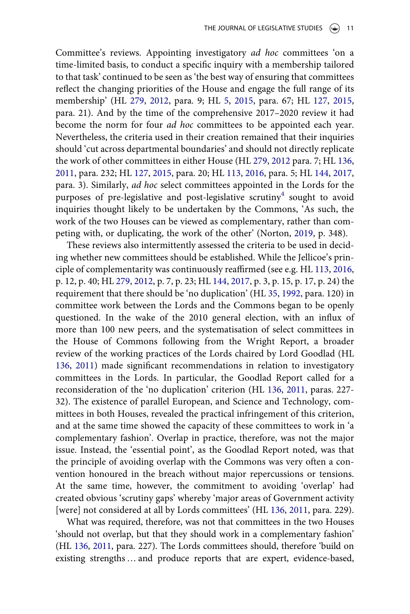<span id="page-10-4"></span>Committee's reviews. Appointing investigatory ad hoc committees 'on a time-limited basis, to conduct a specific inquiry with a membership tailored to that task' continued to be seen as 'the best way of ensuring that committees reflect the changing priorities of the House and engage the full range of its membership' (HL [279,](#page-33-6) [2012,](#page-33-6) para. 9; HL [5,](#page-33-7) [2015](#page-33-7), para. 67; HL [127](#page-33-8), [2015,](#page-33-8) para. 21). And by the time of the comprehensive 2017–2020 review it had become the norm for four ad hoc committees to be appointed each year. Nevertheless, the criteria used in their creation remained that their inquiries should 'cut across departmental boundaries' and should not directly replicate the work of other committees in either House (HL [279](#page-33-6), [2012](#page-33-6) para. 7; HL [136,](#page-33-9) [2011](#page-33-9), para. 232; HL [127,](#page-33-8) [2015](#page-33-8), para. 20; HL [113,](#page-33-10) [2016,](#page-33-10) para. 5; HL [144,](#page-33-11) [2017,](#page-33-11) para. 3). Similarly, ad hoc select committees appointed in the Lords for the purposes of pre-legislative and post-legislative scrutiny<sup>4</sup> sought to avoid inquiries thought likely to be undertaken by the Commons, 'As such, the work of the two Houses can be viewed as complementary, rather than competing with, or duplicating, the work of the other' (Norton, [2019,](#page-35-11) p. 348).

<span id="page-10-5"></span><span id="page-10-3"></span><span id="page-10-1"></span><span id="page-10-0"></span>These reviews also intermittently assessed the criteria to be used in deciding whether new committees should be established. While the Jellicoe's principle of complementarity was continuously reaffirmed (see e.g. HL [113](#page-33-10), [2016,](#page-33-10) p. 12, p. 40; HL [279](#page-33-6), [2012,](#page-33-6) p. 7, p. 23; HL [144,](#page-33-11) [2017,](#page-33-11) p. 3, p. 15, p. 17, p. 24) the requirement that there should be 'no duplication' (HL [35,](#page-33-5) [1992](#page-33-5), para. 120) in committee work between the Lords and the Commons began to be openly questioned. In the wake of the 2010 general election, with an influx of more than 100 new peers, and the systematisation of select committees in the House of Commons following from the Wright Report, a broader review of the working practices of the Lords chaired by Lord Goodlad (HL [136](#page-33-9), [2011\)](#page-33-9) made significant recommendations in relation to investigatory committees in the Lords. In particular, the Goodlad Report called for a reconsideration of the 'no duplication' criterion (HL [136,](#page-33-9) [2011,](#page-33-9) paras. 227- 32). The existence of parallel European, and Science and Technology, committees in both Houses, revealed the practical infringement of this criterion, and at the same time showed the capacity of these committees to work in 'a complementary fashion'. Overlap in practice, therefore, was not the major issue. Instead, the 'essential point', as the Goodlad Report noted, was that the principle of avoiding overlap with the Commons was very often a convention honoured in the breach without major repercussions or tensions. At the same time, however, the commitment to avoiding 'overlap' had created obvious 'scrutiny gaps' whereby 'major areas of Government activity [were] not considered at all by Lords committees' (HL [136](#page-33-9), [2011](#page-33-9), para. 229).

<span id="page-10-2"></span>What was required, therefore, was not that committees in the two Houses 'should not overlap, but that they should work in a complementary fashion' (HL [136,](#page-33-9) [2011](#page-33-9), para. 227). The Lords committees should, therefore 'build on existing strengths … and produce reports that are expert, evidence-based,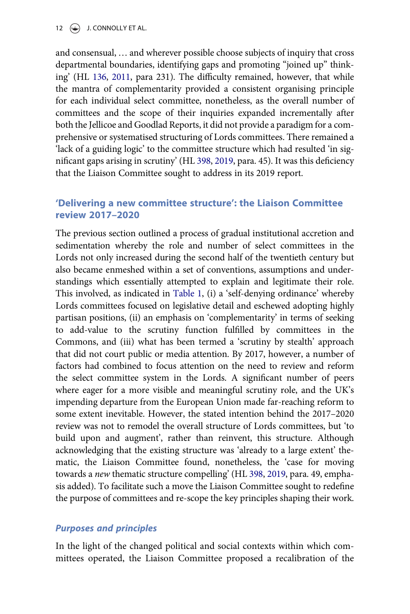and consensual, … and wherever possible choose subjects of inquiry that cross departmental boundaries, identifying gaps and promoting "joined up" thinking' (HL [136,](#page-33-9) [2011,](#page-33-9) para 231). The difficulty remained, however, that while the mantra of complementarity provided a consistent organising principle for each individual select committee, nonetheless, as the overall number of committees and the scope of their inquiries expanded incrementally after both the Jellicoe and Goodlad Reports, it did not provide a paradigm for a comprehensive or systematised structuring of Lords committees. There remained a 'lack of a guiding logic' to the committee structure which had resulted 'in significant gaps arising in scrutiny' (HL [398](#page-33-1), [2019,](#page-33-1) para. 45). It was this deficiency that the Liaison Committee sought to address in its 2019 report.

# 'Delivering a new committee structure': the Liaison Committee review 2017–2020

The previous section outlined a process of gradual institutional accretion and sedimentation whereby the role and number of select committees in the Lords not only increased during the second half of the twentieth century but also became enmeshed within a set of conventions, assumptions and understandings which essentially attempted to explain and legitimate their role. This involved, as indicated in [Table 1,](#page-4-0) (i) a 'self-denying ordinance' whereby Lords committees focused on legislative detail and eschewed adopting highly partisan positions, (ii) an emphasis on 'complementarity' in terms of seeking to add-value to the scrutiny function fulfilled by committees in the Commons, and (iii) what has been termed a 'scrutiny by stealth' approach that did not court public or media attention. By 2017, however, a number of factors had combined to focus attention on the need to review and reform the select committee system in the Lords. A significant number of peers where eager for a more visible and meaningful scrutiny role, and the UK's impending departure from the European Union made far-reaching reform to some extent inevitable. However, the stated intention behind the 2017–2020 review was not to remodel the overall structure of Lords committees, but 'to build upon and augment', rather than reinvent, this structure. Although acknowledging that the existing structure was 'already to a large extent' thematic, the Liaison Committee found, nonetheless, the 'case for moving towards a new thematic structure compelling' (HL [398,](#page-33-1) [2019](#page-33-1), para. 49, emphasis added). To facilitate such a move the Liaison Committee sought to redefine the purpose of committees and re-scope the key principles shaping their work.

### Purposes and principles

In the light of the changed political and social contexts within which committees operated, the Liaison Committee proposed a recalibration of the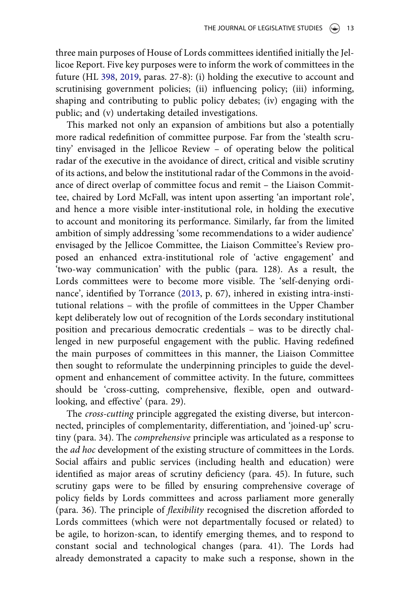three main purposes of House of Lords committees identified initially the Jellicoe Report. Five key purposes were to inform the work of committees in the future (HL [398](#page-33-1), [2019,](#page-33-1) paras. 27-8): (i) holding the executive to account and scrutinising government policies; (ii) influencing policy; (iii) informing, shaping and contributing to public policy debates; (iv) engaging with the public; and (v) undertaking detailed investigations.

This marked not only an expansion of ambitions but also a potentially more radical redefinition of committee purpose. Far from the 'stealth scrutiny' envisaged in the Jellicoe Review – of operating below the political radar of the executive in the avoidance of direct, critical and visible scrutiny of its actions, and below the institutional radar of the Commons in the avoidance of direct overlap of committee focus and remit – the Liaison Committee, chaired by Lord McFall, was intent upon asserting 'an important role', and hence a more visible inter-institutional role, in holding the executive to account and monitoring its performance. Similarly, far from the limited ambition of simply addressing 'some recommendations to a wider audience' envisaged by the Jellicoe Committee, the Liaison Committee's Review proposed an enhanced extra-institutional role of 'active engagement' and 'two-way communication' with the public (para. 128). As a result, the Lords committees were to become more visible. The 'self-denying ordinance', identified by Torrance ([2013,](#page-35-9) p. 67), inhered in existing intra-institutional relations – with the profile of committees in the Upper Chamber kept deliberately low out of recognition of the Lords secondary institutional position and precarious democratic credentials – was to be directly challenged in new purposeful engagement with the public. Having redefined the main purposes of committees in this manner, the Liaison Committee then sought to reformulate the underpinning principles to guide the development and enhancement of committee activity. In the future, committees should be 'cross-cutting, comprehensive, flexible, open and outwardlooking, and effective' (para. 29).

The cross-cutting principle aggregated the existing diverse, but interconnected, principles of complementarity, differentiation, and 'joined-up' scrutiny (para. 34). The comprehensive principle was articulated as a response to the *ad hoc* development of the existing structure of committees in the Lords. Social affairs and public services (including health and education) were identified as major areas of scrutiny deficiency (para. 45). In future, such scrutiny gaps were to be filled by ensuring comprehensive coverage of policy fields by Lords committees and across parliament more generally (para. 36). The principle of flexibility recognised the discretion afforded to Lords committees (which were not departmentally focused or related) to be agile, to horizon-scan, to identify emerging themes, and to respond to constant social and technological changes (para. 41). The Lords had already demonstrated a capacity to make such a response, shown in the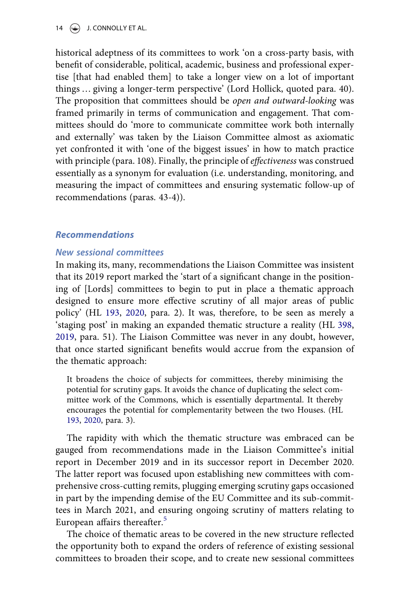historical adeptness of its committees to work 'on a cross-party basis, with benefit of considerable, political, academic, business and professional expertise [that had enabled them] to take a longer view on a lot of important things … giving a longer-term perspective' (Lord Hollick, quoted para. 40). The proposition that committees should be open and outward-looking was framed primarily in terms of communication and engagement. That committees should do 'more to communicate committee work both internally and externally' was taken by the Liaison Committee almost as axiomatic yet confronted it with 'one of the biggest issues' in how to match practice with principle (para. 108). Finally, the principle of effectiveness was construed essentially as a synonym for evaluation (i.e. understanding, monitoring, and measuring the impact of committees and ensuring systematic follow-up of recommendations (paras. 43-4)).

### Recommendations

### New sessional committees

In making its, many, recommendations the Liaison Committee was insistent that its 2019 report marked the 'start of a significant change in the positioning of [Lords] committees to begin to put in place a thematic approach designed to ensure more effective scrutiny of all major areas of public policy' (HL [193,](#page-33-2) [2020,](#page-33-2) para. 2). It was, therefore, to be seen as merely a 'staging post' in making an expanded thematic structure a reality (HL [398,](#page-33-1) [2019](#page-33-1), para. 51). The Liaison Committee was never in any doubt, however, that once started significant benefits would accrue from the expansion of the thematic approach:

It broadens the choice of subjects for committees, thereby minimising the potential for scrutiny gaps. It avoids the chance of duplicating the select committee work of the Commons, which is essentially departmental. It thereby encourages the potential for complementarity between the two Houses. (HL [193,](#page-33-2) [2020,](#page-33-2) para. 3).

The rapidity with which the thematic structure was embraced can be gauged from recommendations made in the Liaison Committee's initial report in December 2019 and in its successor report in December 2020. The latter report was focused upon establishing new committees with comprehensive cross-cutting remits, plugging emerging scrutiny gaps occasioned in part by the impending demise of the EU Committee and its sub-committees in March 2021, and ensuring ongoing scrutiny of matters relating to European affairs thereafter.<sup>[5](#page-30-2)</sup>

The choice of thematic areas to be covered in the new structure reflected the opportunity both to expand the orders of reference of existing sessional committees to broaden their scope, and to create new sessional committees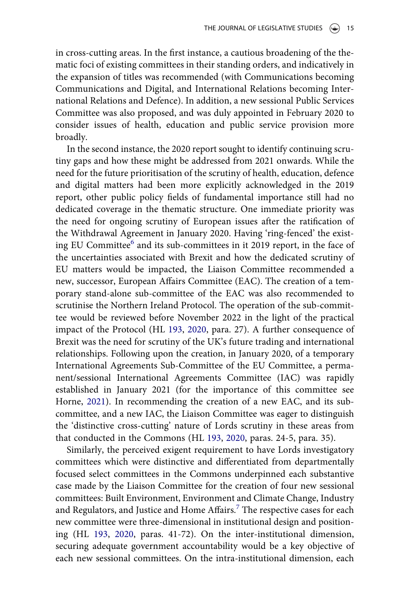in cross-cutting areas. In the first instance, a cautious broadening of the thematic foci of existing committees in their standing orders, and indicatively in the expansion of titles was recommended (with Communications becoming Communications and Digital, and International Relations becoming International Relations and Defence). In addition, a new sessional Public Services Committee was also proposed, and was duly appointed in February 2020 to consider issues of health, education and public service provision more broadly.

In the second instance, the 2020 report sought to identify continuing scrutiny gaps and how these might be addressed from 2021 onwards. While the need for the future prioritisation of the scrutiny of health, education, defence and digital matters had been more explicitly acknowledged in the 2019 report, other public policy fields of fundamental importance still had no dedicated coverage in the thematic structure. One immediate priority was the need for ongoing scrutiny of European issues after the ratification of the Withdrawal Agreement in January 2020. Having 'ring-fenced' the exist-ing EU Committee<sup>[6](#page-30-3)</sup> and its sub-committees in it 2019 report, in the face of the uncertainties associated with Brexit and how the dedicated scrutiny of EU matters would be impacted, the Liaison Committee recommended a new, successor, European Affairs Committee (EAC). The creation of a temporary stand-alone sub-committee of the EAC was also recommended to scrutinise the Northern Ireland Protocol. The operation of the sub-committee would be reviewed before November 2022 in the light of the practical impact of the Protocol (HL [193,](#page-33-2) [2020,](#page-33-2) para. 27). A further consequence of Brexit was the need for scrutiny of the UK's future trading and international relationships. Following upon the creation, in January 2020, of a temporary International Agreements Sub-Committee of the EU Committee, a permanent/sessional International Agreements Committee (IAC) was rapidly established in January 2021 (for the importance of this committee see Horne, [2021\)](#page-34-14). In recommending the creation of a new EAC, and its subcommittee, and a new IAC, the Liaison Committee was eager to distinguish the 'distinctive cross-cutting' nature of Lords scrutiny in these areas from that conducted in the Commons (HL [193,](#page-33-2) [2020](#page-33-2), paras. 24-5, para. 35).

<span id="page-14-0"></span>Similarly, the perceived exigent requirement to have Lords investigatory committees which were distinctive and differentiated from departmentally focused select committees in the Commons underpinned each substantive case made by the Liaison Committee for the creation of four new sessional committees: Built Environment, Environment and Climate Change, Industry and Regulators, and Justice and Home Affairs.<sup>[7](#page-30-4)</sup> The respective cases for each new committee were three-dimensional in institutional design and positioning (HL [193](#page-33-2), [2020](#page-33-2), paras. 41-72). On the inter-institutional dimension, securing adequate government accountability would be a key objective of each new sessional committees. On the intra-institutional dimension, each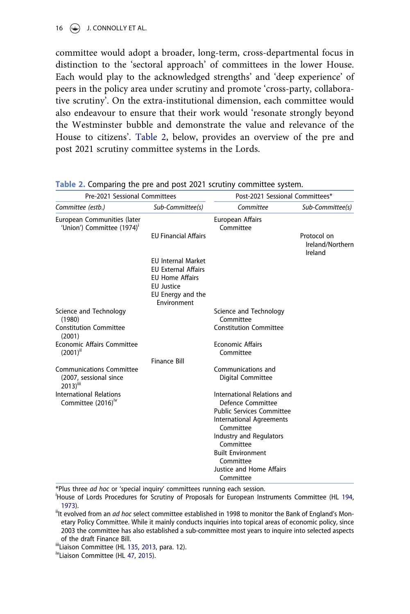committee would adopt a broader, long-term, cross-departmental focus in distinction to the 'sectoral approach' of committees in the lower House. Each would play to the acknowledged strengths' and 'deep experience' of peers in the policy area under scrutiny and promote 'cross-party, collaborative scrutiny'. On the extra-institutional dimension, each committee would also endeavour to ensure that their work would 'resonate strongly beyond the Westminster bubble and demonstrate the value and relevance of the House to citizens'. [Table 2](#page-15-0), below, provides an overview of the pre and post 2021 scrutiny committee systems in the Lords.

| Pre-2021 Sessional Committees                                                     |                                                         | Post-2021 Sessional Committees*         |                             |
|-----------------------------------------------------------------------------------|---------------------------------------------------------|-----------------------------------------|-----------------------------|
| Committee (estb.)                                                                 | Sub-Committee(s)                                        | Committee                               | Sub-Committee(s)            |
| European Communities (later<br>'Union') Committee (1974)'                         | <b>EU Financial Affairs</b>                             | European Affairs<br>Committee           | Protocol on                 |
|                                                                                   |                                                         |                                         | Ireland/Northern<br>Ireland |
|                                                                                   | <b>EU Internal Market</b><br><b>EU External Affairs</b> |                                         |                             |
|                                                                                   | <b>EU Home Affairs</b><br><b>EU Justice</b>             |                                         |                             |
|                                                                                   | EU Energy and the<br>Environment                        |                                         |                             |
| Science and Technology<br>(1980)                                                  |                                                         | Science and Technology<br>Committee     |                             |
| <b>Constitution Committee</b><br>(2001)                                           |                                                         | <b>Constitution Committee</b>           |                             |
| <b>Economic Affairs Committee</b><br>$(2001)^{ii}$                                |                                                         | <b>Economic Affairs</b><br>Committee    |                             |
|                                                                                   | <b>Finance Bill</b>                                     |                                         |                             |
| <b>Communications Committee</b><br>(2007, sessional since<br>2013) <sup>iii</sup> |                                                         | Communications and<br>Digital Committee |                             |
| <b>International Relations</b>                                                    |                                                         | International Relations and             |                             |
| Committee (2016) <sup>1V</sup>                                                    |                                                         | Defence Committee                       |                             |
|                                                                                   |                                                         | <b>Public Services Committee</b>        |                             |
|                                                                                   |                                                         | International Agreements                |                             |
|                                                                                   |                                                         | Committee                               |                             |
|                                                                                   |                                                         | Industry and Regulators<br>Committee    |                             |
|                                                                                   |                                                         | <b>Built Environment</b>                |                             |
|                                                                                   |                                                         | Committee                               |                             |
|                                                                                   |                                                         | Justice and Home Affairs                |                             |
|                                                                                   |                                                         | Committee                               |                             |

#### <span id="page-15-0"></span>Table 2. Comparing the pre and post 2021 scrutiny committee system.

<span id="page-15-2"></span>\*Plus three *ad hoc* or 'special inquiry' committees running each session.

House of Lords Procedures for Scrutiny of Proposals for European Instruments Committee (HL [194,](#page-33-12) [1973](#page-33-12)).<br><sup>ii</sup>It evolved from an *ad hoc* select committee established in 1998 to monitor the Bank of England's Mon-

etary Policy Committee. While it mainly conducts inquiries into topical areas of economic policy, since 2003 the committee has also established a sub-committee most years to inquire into selected aspects of the draft Finance Bill.<br>"Liaison Committee (HL [135,](#page-33-13) [2013](#page-33-13), para. 12).<br><sup>iv</sup>Liaison Committee (HL [47](#page-33-14), [2015](#page-33-14)).

<span id="page-15-3"></span><span id="page-15-1"></span>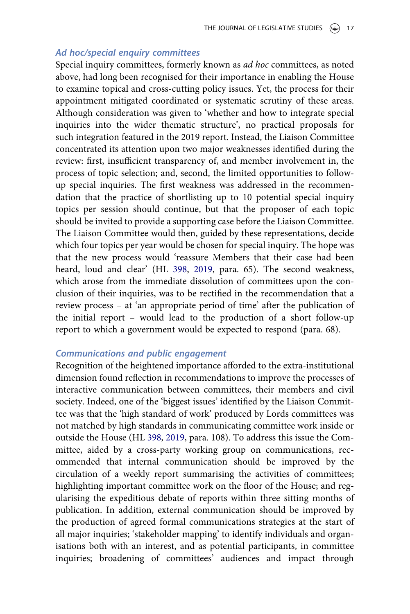#### Ad hoc/special enquiry committees

Special inquiry committees, formerly known as ad hoc committees, as noted above, had long been recognised for their importance in enabling the House to examine topical and cross-cutting policy issues. Yet, the process for their appointment mitigated coordinated or systematic scrutiny of these areas. Although consideration was given to 'whether and how to integrate special inquiries into the wider thematic structure', no practical proposals for such integration featured in the 2019 report. Instead, the Liaison Committee concentrated its attention upon two major weaknesses identified during the review: first, insufficient transparency of, and member involvement in, the process of topic selection; and, second, the limited opportunities to followup special inquiries. The first weakness was addressed in the recommendation that the practice of shortlisting up to 10 potential special inquiry topics per session should continue, but that the proposer of each topic should be invited to provide a supporting case before the Liaison Committee. The Liaison Committee would then, guided by these representations, decide which four topics per year would be chosen for special inquiry. The hope was that the new process would 'reassure Members that their case had been heard, loud and clear' (HL [398,](#page-33-1) [2019](#page-33-1), para. 65). The second weakness, which arose from the immediate dissolution of committees upon the conclusion of their inquiries, was to be rectified in the recommendation that a review process – at 'an appropriate period of time' after the publication of the initial report – would lead to the production of a short follow-up report to which a government would be expected to respond (para. 68).

### Communications and public engagement

Recognition of the heightened importance afforded to the extra-institutional dimension found reflection in recommendations to improve the processes of interactive communication between committees, their members and civil society. Indeed, one of the 'biggest issues' identified by the Liaison Committee was that the 'high standard of work' produced by Lords committees was not matched by high standards in communicating committee work inside or outside the House (HL [398](#page-33-1), [2019](#page-33-1), para. 108). To address this issue the Committee, aided by a cross-party working group on communications, recommended that internal communication should be improved by the circulation of a weekly report summarising the activities of committees; highlighting important committee work on the floor of the House; and regularising the expeditious debate of reports within three sitting months of publication. In addition, external communication should be improved by the production of agreed formal communications strategies at the start of all major inquiries; 'stakeholder mapping' to identify individuals and organisations both with an interest, and as potential participants, in committee inquiries; broadening of committees' audiences and impact through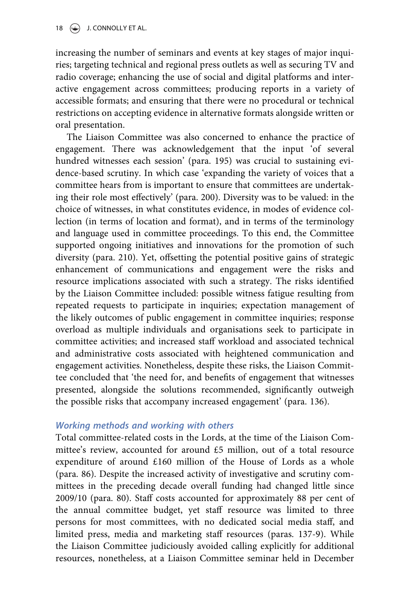increasing the number of seminars and events at key stages of major inquiries; targeting technical and regional press outlets as well as securing TV and radio coverage; enhancing the use of social and digital platforms and interactive engagement across committees; producing reports in a variety of accessible formats; and ensuring that there were no procedural or technical restrictions on accepting evidence in alternative formats alongside written or oral presentation.

The Liaison Committee was also concerned to enhance the practice of engagement. There was acknowledgement that the input 'of several hundred witnesses each session' (para. 195) was crucial to sustaining evidence-based scrutiny. In which case 'expanding the variety of voices that a committee hears from is important to ensure that committees are undertaking their role most effectively' (para. 200). Diversity was to be valued: in the choice of witnesses, in what constitutes evidence, in modes of evidence collection (in terms of location and format), and in terms of the terminology and language used in committee proceedings. To this end, the Committee supported ongoing initiatives and innovations for the promotion of such diversity (para. 210). Yet, offsetting the potential positive gains of strategic enhancement of communications and engagement were the risks and resource implications associated with such a strategy. The risks identified by the Liaison Committee included: possible witness fatigue resulting from repeated requests to participate in inquiries; expectation management of the likely outcomes of public engagement in committee inquiries; response overload as multiple individuals and organisations seek to participate in committee activities; and increased staff workload and associated technical and administrative costs associated with heightened communication and engagement activities. Nonetheless, despite these risks, the Liaison Committee concluded that 'the need for, and benefits of engagement that witnesses presented, alongside the solutions recommended, significantly outweigh the possible risks that accompany increased engagement' (para. 136).

### Working methods and working with others

Total committee-related costs in the Lords, at the time of the Liaison Committee's review, accounted for around £5 million, out of a total resource expenditure of around £160 million of the House of Lords as a whole (para. 86). Despite the increased activity of investigative and scrutiny committees in the preceding decade overall funding had changed little since 2009/10 (para. 80). Staff costs accounted for approximately 88 per cent of the annual committee budget, yet staff resource was limited to three persons for most committees, with no dedicated social media staff, and limited press, media and marketing staff resources (paras. 137-9). While the Liaison Committee judiciously avoided calling explicitly for additional resources, nonetheless, at a Liaison Committee seminar held in December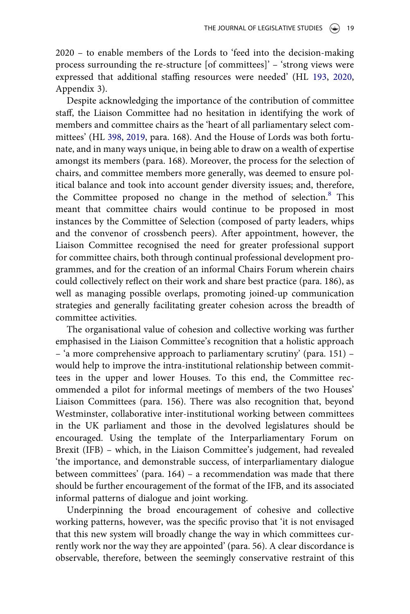2020 – to enable members of the Lords to 'feed into the decision-making process surrounding the re-structure [of committees]'–'strong views were expressed that additional staffing resources were needed' (HL [193,](#page-33-2) [2020,](#page-33-2) Appendix 3).

Despite acknowledging the importance of the contribution of committee staff, the Liaison Committee had no hesitation in identifying the work of members and committee chairs as the 'heart of all parliamentary select committees' (HL [398](#page-33-1), [2019,](#page-33-1) para. 168). And the House of Lords was both fortunate, and in many ways unique, in being able to draw on a wealth of expertise amongst its members (para. 168). Moreover, the process for the selection of chairs, and committee members more generally, was deemed to ensure political balance and took into account gender diversity issues; and, therefore, the Committee proposed no change in the method of selection.<sup>8</sup> This meant that committee chairs would continue to be proposed in most instances by the Committee of Selection (composed of party leaders, whips and the convenor of crossbench peers). After appointment, however, the Liaison Committee recognised the need for greater professional support for committee chairs, both through continual professional development programmes, and for the creation of an informal Chairs Forum wherein chairs could collectively reflect on their work and share best practice (para. 186), as well as managing possible overlaps, promoting joined-up communication strategies and generally facilitating greater cohesion across the breadth of committee activities.

The organisational value of cohesion and collective working was further emphasised in the Liaison Committee's recognition that a holistic approach – 'a more comprehensive approach to parliamentary scrutiny' (para. 151) – would help to improve the intra-institutional relationship between committees in the upper and lower Houses. To this end, the Committee recommended a pilot for informal meetings of members of the two Houses' Liaison Committees (para. 156). There was also recognition that, beyond Westminster, collaborative inter-institutional working between committees in the UK parliament and those in the devolved legislatures should be encouraged. Using the template of the Interparliamentary Forum on Brexit (IFB) – which, in the Liaison Committee's judgement, had revealed 'the importance, and demonstrable success, of interparliamentary dialogue between committees' (para. 164) – a recommendation was made that there should be further encouragement of the format of the IFB, and its associated informal patterns of dialogue and joint working.

Underpinning the broad encouragement of cohesive and collective working patterns, however, was the specific proviso that 'it is not envisaged that this new system will broadly change the way in which committees currently work nor the way they are appointed' (para. 56). A clear discordance is observable, therefore, between the seemingly conservative restraint of this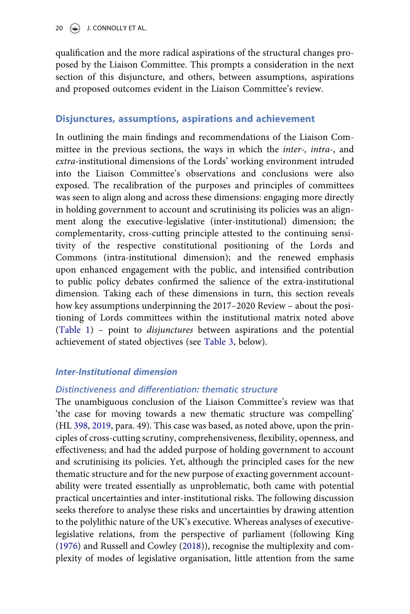qualification and the more radical aspirations of the structural changes proposed by the Liaison Committee. This prompts a consideration in the next section of this disjuncture, and others, between assumptions, aspirations and proposed outcomes evident in the Liaison Committee's review.

### Disjunctures, assumptions, aspirations and achievement

In outlining the main findings and recommendations of the Liaison Committee in the previous sections, the ways in which the *inter-*, *intra-*, and extra-institutional dimensions of the Lords' working environment intruded into the Liaison Committee's observations and conclusions were also exposed. The recalibration of the purposes and principles of committees was seen to align along and across these dimensions: engaging more directly in holding government to account and scrutinising its policies was an alignment along the executive-legislative (inter-institutional) dimension; the complementarity, cross-cutting principle attested to the continuing sensitivity of the respective constitutional positioning of the Lords and Commons (intra-institutional dimension); and the renewed emphasis upon enhanced engagement with the public, and intensified contribution to public policy debates confirmed the salience of the extra-institutional dimension. Taking each of these dimensions in turn, this section reveals how key assumptions underpinning the 2017–2020 Review – about the positioning of Lords committees within the institutional matrix noted above ([Table 1](#page-4-0)) – point to disjunctures between aspirations and the potential achievement of stated objectives (see [Table 3,](#page-20-0) below).

### Inter-Institutional dimension

### Distinctiveness and differentiation: thematic structure

The unambiguous conclusion of the Liaison Committee's review was that 'the case for moving towards a new thematic structure was compelling' (HL [398,](#page-33-1) [2019,](#page-33-1) para. 49). This case was based, as noted above, upon the principles of cross-cutting scrutiny, comprehensiveness, flexibility, openness, and effectiveness; and had the added purpose of holding government to account and scrutinising its policies. Yet, although the principled cases for the new thematic structure and for the new purpose of exacting government accountability were treated essentially as unproblematic, both came with potential practical uncertainties and inter-institutional risks. The following discussion seeks therefore to analyse these risks and uncertainties by drawing attention to the polylithic nature of the UK's executive. Whereas analyses of executivelegislative relations, from the perspective of parliament (following King ([1976\)](#page-34-7) and Russell and Cowley ([2018](#page-35-3))), recognise the multiplexity and complexity of modes of legislative organisation, little attention from the same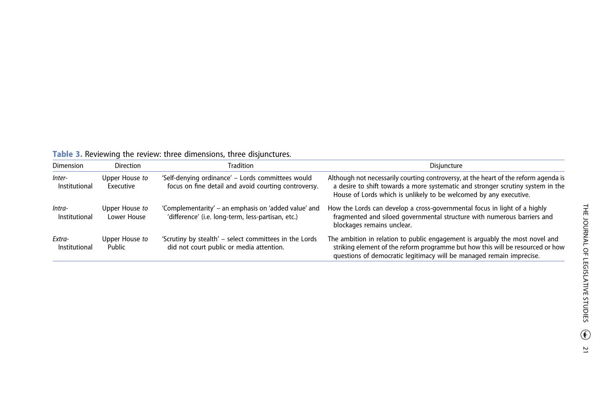| <b>I WATE OF INCYRCINITY WILE ICYRCITY. WILCO UNITIONSHIPS</b> WILCO UISJUNCCUIOS. |                               |                                                                                                            |                                                                                                                                                                                                                                             |  |  |
|------------------------------------------------------------------------------------|-------------------------------|------------------------------------------------------------------------------------------------------------|---------------------------------------------------------------------------------------------------------------------------------------------------------------------------------------------------------------------------------------------|--|--|
| <b>Dimension</b>                                                                   | Direction                     | Tradition                                                                                                  | Disjuncture                                                                                                                                                                                                                                 |  |  |
| Inter-<br>Institutional                                                            | Upper House to<br>Executive   | 'Self-denying ordinance' - Lords committees would<br>focus on fine detail and avoid courting controversy.  | Although not necessarily courting controversy, at the heart of the reform agenda is<br>a desire to shift towards a more systematic and stronger scrutiny system in the<br>House of Lords which is unlikely to be welcomed by any executive. |  |  |
| lntra-<br>Institutional                                                            | Upper House to<br>Lower House | 'Complementarity' – an emphasis on 'added value' and<br>'difference' (i.e. long-term, less-partisan, etc.) | How the Lords can develop a cross-governmental focus in light of a highly<br>fragmented and siloed governmental structure with numerous barriers and<br>blockages remains unclear.                                                          |  |  |
| Extra-<br>Institutional                                                            | Upper House to<br>Public      | 'Scrutiny by stealth' - select committees in the Lords<br>did not court public or media attention.         | The ambition in relation to public engagement is arguably the most novel and<br>striking element of the reform programme but how this will be resourced or how<br>questions of democratic legitimacy will be managed remain imprecise.      |  |  |

<span id="page-20-0"></span>Table 3. Reviewing the review: three dimensions, three disjunctures.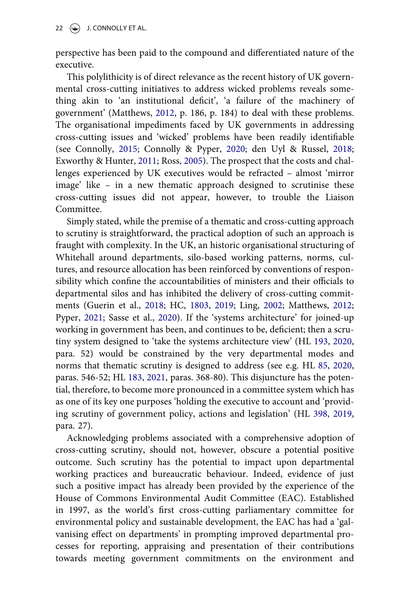perspective has been paid to the compound and differentiated nature of the executive.

<span id="page-21-0"></span>This polylithicity is of direct relevance as the recent history of UK governmental cross-cutting initiatives to address wicked problems reveals something akin to 'an institutional deficit', 'a failure of the machinery of government' (Matthews, [2012](#page-34-15), p. 186, p. 184) to deal with these problems. The organisational impediments faced by UK governments in addressing cross-cutting issues and 'wicked' problems have been readily identifiable (see Connolly, [2015](#page-32-5); Connolly & Pyper, [2020;](#page-32-6) den Uyl & Russel, [2018;](#page-32-7) Exworthy & Hunter, [2011](#page-32-8); Ross, [2005\)](#page-35-12). The prospect that the costs and challenges experienced by UK executives would be refracted – almost 'mirror image' like – in a new thematic approach designed to scrutinise these cross-cutting issues did not appear, however, to trouble the Liaison Committee.

<span id="page-21-5"></span><span id="page-21-2"></span><span id="page-21-1"></span>Simply stated, while the premise of a thematic and cross-cutting approach to scrutiny is straightforward, the practical adoption of such an approach is fraught with complexity. In the UK, an historic organisational structuring of Whitehall around departments, silo-based working patterns, norms, cultures, and resource allocation has been reinforced by conventions of responsibility which confine the accountabilities of ministers and their officials to departmental silos and has inhibited the delivery of cross-cutting commitments (Guerin et al., [2018;](#page-33-15) HC, [1803](#page-33-16), [2019](#page-33-16); Ling, [2002;](#page-34-16) Matthews, [2012;](#page-34-15) Pyper, [2021](#page-35-13); Sasse et al., [2020\)](#page-35-14). If the 'systems architecture' for joined-up working in government has been, and continues to be, deficient; then a scrutiny system designed to 'take the systems architecture view' (HL [193,](#page-33-2) [2020,](#page-33-2) para. 52) would be constrained by the very departmental modes and norms that thematic scrutiny is designed to address (see e.g. HL [85,](#page-34-17) [2020,](#page-34-17) paras. 546-52; HL [183](#page-33-17), [2021,](#page-33-17) paras. 368-80). This disjuncture has the potential, therefore, to become more pronounced in a committee system which has as one of its key one purposes 'holding the executive to account and 'providing scrutiny of government policy, actions and legislation' (HL [398](#page-33-1), [2019,](#page-33-1) para. 27).

<span id="page-21-4"></span><span id="page-21-3"></span>Acknowledging problems associated with a comprehensive adoption of cross-cutting scrutiny, should not, however, obscure a potential positive outcome. Such scrutiny has the potential to impact upon departmental working practices and bureaucratic behaviour. Indeed, evidence of just such a positive impact has already been provided by the experience of the House of Commons Environmental Audit Committee (EAC). Established in 1997, as the world's first cross-cutting parliamentary committee for environmental policy and sustainable development, the EAC has had a 'galvanising effect on departments' in prompting improved departmental processes for reporting, appraising and presentation of their contributions towards meeting government commitments on the environment and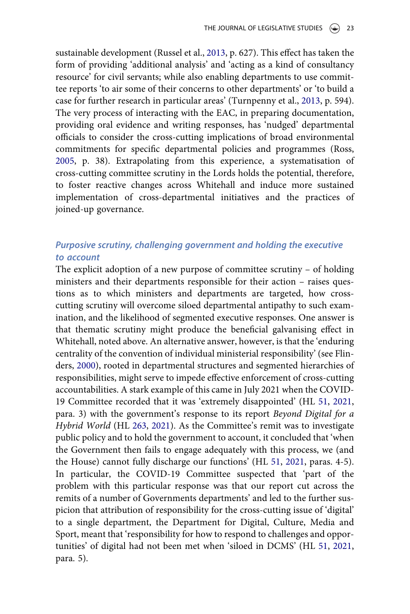<span id="page-22-4"></span><span id="page-22-3"></span>sustainable development (Russel et al., [2013](#page-35-15), p. 627). This effect has taken the form of providing 'additional analysis' and 'acting as a kind of consultancy resource' for civil servants; while also enabling departments to use committee reports 'to air some of their concerns to other departments' or 'to build a case for further research in particular areas' (Turnpenny et al., [2013,](#page-35-16) p. 594). The very process of interacting with the EAC, in preparing documentation, providing oral evidence and writing responses, has 'nudged' departmental officials to consider the cross-cutting implications of broad environmental commitments for specific departmental policies and programmes (Ross, [2005](#page-35-12), p. 38). Extrapolating from this experience, a systematisation of cross-cutting committee scrutiny in the Lords holds the potential, therefore, to foster reactive changes across Whitehall and induce more sustained implementation of cross-departmental initiatives and the practices of joined-up governance.

# Purposive scrutiny, challenging government and holding the executive to account

<span id="page-22-2"></span><span id="page-22-1"></span><span id="page-22-0"></span>The explicit adoption of a new purpose of committee scrutiny – of holding ministers and their departments responsible for their action – raises questions as to which ministers and departments are targeted, how crosscutting scrutiny will overcome siloed departmental antipathy to such examination, and the likelihood of segmented executive responses. One answer is that thematic scrutiny might produce the beneficial galvanising effect in Whitehall, noted above. An alternative answer, however, is that the 'enduring centrality of the convention of individual ministerial responsibility' (see Flinders, [2000](#page-32-9)), rooted in departmental structures and segmented hierarchies of responsibilities, might serve to impede effective enforcement of cross-cutting accountabilities. A stark example of this came in July 2021 when the COVID-19 Committee recorded that it was 'extremely disappointed' (HL [51,](#page-34-18) [2021,](#page-34-18) para. 3) with the government's response to its report Beyond Digital for a Hybrid World (HL [263](#page-33-18), [2021\)](#page-33-18). As the Committee's remit was to investigate public policy and to hold the government to account, it concluded that 'when the Government then fails to engage adequately with this process, we (and the House) cannot fully discharge our functions' (HL [51,](#page-34-18) [2021,](#page-34-18) paras. 4-5). In particular, the COVID-19 Committee suspected that 'part of the problem with this particular response was that our report cut across the remits of a number of Governments departments' and led to the further suspicion that attribution of responsibility for the cross-cutting issue of 'digital' to a single department, the Department for Digital, Culture, Media and Sport, meant that 'responsibility for how to respond to challenges and opportunities' of digital had not been met when 'siloed in DCMS' (HL [51,](#page-34-18) [2021,](#page-34-18) para. 5).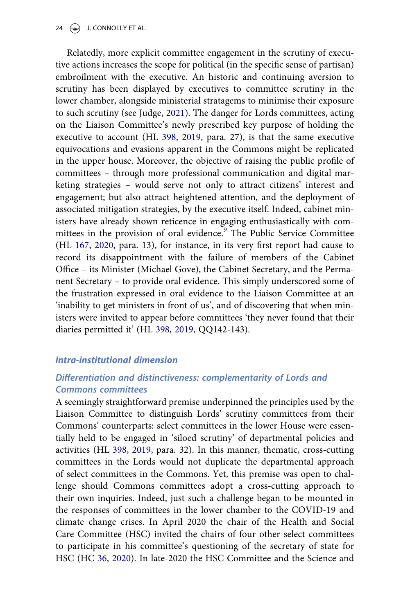<span id="page-23-2"></span>Relatedly, more explicit committee engagement in the scrutiny of executive actions increases the scope for political (in the specific sense of partisan) embroilment with the executive. An historic and continuing aversion to scrutiny has been displayed by executives to committee scrutiny in the lower chamber, alongside ministerial stratagems to minimise their exposure to such scrutiny (see Judge, [2021\)](#page-34-19). The danger for Lords committees, acting on the Liaison Committee's newly prescribed key purpose of holding the executive to account (HL [398](#page-33-1), [2019,](#page-33-1) para. 27), is that the same executive equivocations and evasions apparent in the Commons might be replicated in the upper house. Moreover, the objective of raising the public profile of committees – through more professional communication and digital marketing strategies – would serve not only to attract citizens' interest and engagement; but also attract heightened attention, and the deployment of associated mitigation strategies, by the executive itself. Indeed, cabinet ministers have already shown reticence in engaging enthusiastically with com-mittees in the provision of oral evidence.<sup>[9](#page-31-0)</sup> The Public Service Committee (HL [167](#page-33-19), [2020](#page-33-19), para. 13), for instance, in its very first report had cause to record its disappointment with the failure of members of the Cabinet Office – its Minister (Michael Gove), the Cabinet Secretary, and the Permanent Secretary – to provide oral evidence. This simply underscored some of the frustration expressed in oral evidence to the Liaison Committee at an 'inability to get ministers in front of us', and of discovering that when ministers were invited to appear before committees 'they never found that their diaries permitted it' (HL [398](#page-33-1), [2019,](#page-33-1) QQ142-143).

### <span id="page-23-1"></span>Intra-institutional dimension

# Differentiation and distinctiveness: complementarity of Lords and Commons committees

<span id="page-23-0"></span>A seemingly straightforward premise underpinned the principles used by the Liaison Committee to distinguish Lords' scrutiny committees from their Commons' counterparts: select committees in the lower House were essentially held to be engaged in 'siloed scrutiny' of departmental policies and activities (HL [398,](#page-33-1) [2019,](#page-33-1) para. 32). In this manner, thematic, cross-cutting committees in the Lords would not duplicate the departmental approach of select committees in the Commons. Yet, this premise was open to challenge should Commons committees adopt a cross-cutting approach to their own inquiries. Indeed, just such a challenge began to be mounted in the responses of committees in the lower chamber to the COVID-19 and climate change crises. In April 2020 the chair of the Health and Social Care Committee (HSC) invited the chairs of four other select committees to participate in his committee's questioning of the secretary of state for HSC (HC [36](#page-33-20), [2020](#page-33-20)). In late-2020 the HSC Committee and the Science and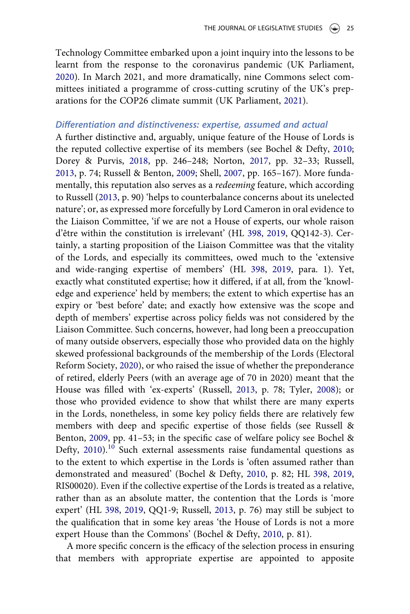<span id="page-24-4"></span>Technology Committee embarked upon a joint inquiry into the lessons to be learnt from the response to the coronavirus pandemic (UK Parliament, [2020](#page-36-2)). In March 2021, and more dramatically, nine Commons select committees initiated a programme of cross-cutting scrutiny of the UK's preparations for the COP26 climate summit (UK Parliament, [2021\)](#page-36-3).

### <span id="page-24-5"></span>Differentiation and distinctiveness: expertise, assumed and actual

A further distinctive and, arguably, unique feature of the House of Lords is the reputed collective expertise of its members (see Bochel & Defty, [2010;](#page-32-10) Dorey & Purvis, [2018,](#page-32-4) pp. 246–248; Norton, [2017,](#page-34-1) pp. 32–33; Russell, [2013](#page-35-0), p. 74; Russell & Benton, [2009;](#page-35-17) Shell, [2007,](#page-35-1) pp. 165–167). More fundamentally, this reputation also serves as a *redeeming* feature, which according to Russell ([2013,](#page-35-0) p. 90) 'helps to counterbalance concerns about its unelected nature'; or, as expressed more forcefully by Lord Cameron in oral evidence to the Liaison Committee, 'if we are not a House of experts, our whole raison d'être within the constitution is irrelevant' (HL [398](#page-33-1), [2019](#page-33-1), QQ142-3). Certainly, a starting proposition of the Liaison Committee was that the vitality of the Lords, and especially its committees, owed much to the 'extensive and wide-ranging expertise of members' (HL [398](#page-33-1), [2019](#page-33-1), para. 1). Yet, exactly what constituted expertise; how it differed, if at all, from the 'knowledge and experience' held by members; the extent to which expertise has an expiry or 'best before' date; and exactly how extensive was the scope and depth of members' expertise across policy fields was not considered by the Liaison Committee. Such concerns, however, had long been a preoccupation of many outside observers, especially those who provided data on the highly skewed professional backgrounds of the membership of the Lords (Electoral Reform Society, [2020](#page-32-11)), or who raised the issue of whether the preponderance of retired, elderly Peers (with an average age of 70 in 2020) meant that the House was filled with 'ex-experts' (Russell, [2013](#page-35-0), p. 78; Tyler, [2008](#page-35-18)); or those who provided evidence to show that whilst there are many experts in the Lords, nonetheless, in some key policy fields there are relatively few members with deep and specific expertise of those fields (see Russell & Benton, [2009](#page-35-17), pp. 41–53; in the specific case of welfare policy see Bochel & Defty, [2010](#page-32-10)).<sup>[10](#page-31-1)</sup> Such external assessments raise fundamental questions as to the extent to which expertise in the Lords is 'often assumed rather than demonstrated and measured' (Bochel & Defty, [2010](#page-32-10), p. 82; HL [398](#page-33-1), [2019,](#page-33-1) RIS00020). Even if the collective expertise of the Lords is treated as a relative, rather than as an absolute matter, the contention that the Lords is 'more expert' (HL [398](#page-33-1), [2019,](#page-33-1) QQ1-9; Russell, [2013,](#page-35-0) p. 76) may still be subject to the qualification that in some key areas 'the House of Lords is not a more expert House than the Commons' (Bochel & Defty, [2010,](#page-32-10) p. 81).

<span id="page-24-3"></span><span id="page-24-2"></span><span id="page-24-1"></span><span id="page-24-0"></span>A more specific concern is the efficacy of the selection process in ensuring that members with appropriate expertise are appointed to apposite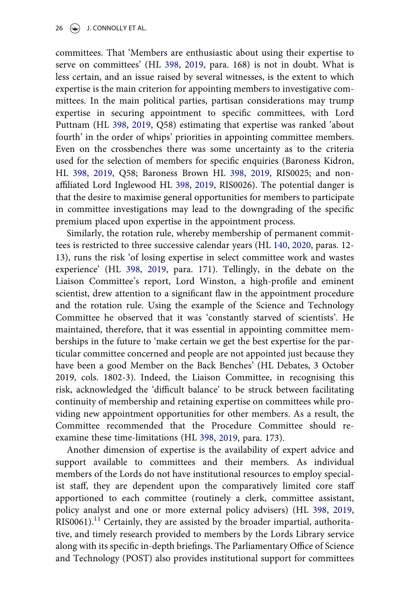committees. That 'Members are enthusiastic about using their expertise to serve on committees' (HL [398,](#page-33-1) [2019,](#page-33-1) para. 168) is not in doubt. What is less certain, and an issue raised by several witnesses, is the extent to which expertise is the main criterion for appointing members to investigative committees. In the main political parties, partisan considerations may trump expertise in securing appointment to specific committees, with Lord Puttnam (HL [398,](#page-33-1) [2019,](#page-33-1) Q58) estimating that expertise was ranked 'about fourth' in the order of whips' priorities in appointing committee members. Even on the crossbenches there was some uncertainty as to the criteria used for the selection of members for specific enquiries (Baroness Kidron, HL [398,](#page-33-1) [2019](#page-33-1), Q58; Baroness Brown HL [398,](#page-33-1) [2019,](#page-33-1) RIS0025; and nonaffiliated Lord Inglewood HL [398,](#page-33-1) [2019,](#page-33-1) RIS0026). The potential danger is that the desire to maximise general opportunities for members to participate in committee investigations may lead to the downgrading of the specific premium placed upon expertise in the appointment process.

<span id="page-25-0"></span>Similarly, the rotation rule, whereby membership of permanent committees is restricted to three successive calendar years (HL [140](#page-33-21), [2020,](#page-33-21) paras. 12- 13), runs the risk 'of losing expertise in select committee work and wastes experience' (HL [398](#page-33-1), [2019](#page-33-1), para. 171). Tellingly, in the debate on the Liaison Committee's report, Lord Winston, a high-profile and eminent scientist, drew attention to a significant flaw in the appointment procedure and the rotation rule. Using the example of the Science and Technology Committee he observed that it was 'constantly starved of scientists'. He maintained, therefore, that it was essential in appointing committee memberships in the future to 'make certain we get the best expertise for the particular committee concerned and people are not appointed just because they have been a good Member on the Back Benches' (HL Debates, 3 October 2019, cols. 1802-3). Indeed, the Liaison Committee, in recognising this risk, acknowledged the 'difficult balance' to be struck between facilitating continuity of membership and retaining expertise on committees while providing new appointment opportunities for other members. As a result, the Committee recommended that the Procedure Committee should reexamine these time-limitations (HL [398,](#page-33-1) [2019](#page-33-1), para. 173).

Another dimension of expertise is the availability of expert advice and support available to committees and their members. As individual members of the Lords do not have institutional resources to employ specialist staff, they are dependent upon the comparatively limited core staff apportioned to each committee (routinely a clerk, committee assistant, policy analyst and one or more external policy advisers) (HL [398,](#page-33-1) [2019,](#page-33-1)  $RIS0061$ <sup>[11](#page-31-2)</sup> Certainly, they are assisted by the broader impartial, authoritative, and timely research provided to members by the Lords Library service along with its specific in-depth briefings. The Parliamentary Office of Science and Technology (POST) also provides institutional support for committees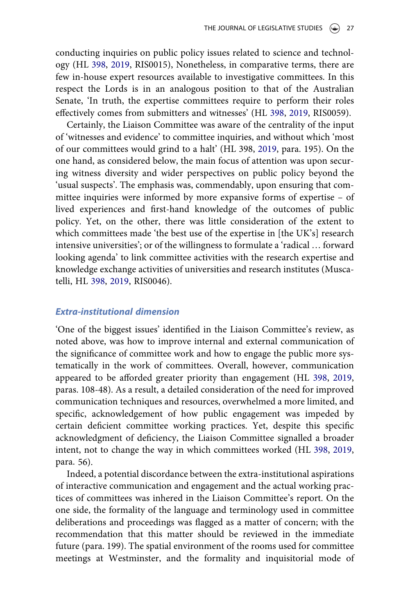conducting inquiries on public policy issues related to science and technology (HL [398](#page-33-1), [2019,](#page-33-1) RIS0015), Nonetheless, in comparative terms, there are few in-house expert resources available to investigative committees. In this respect the Lords is in an analogous position to that of the Australian Senate, 'In truth, the expertise committees require to perform their roles effectively comes from submitters and witnesses' (HL [398,](#page-33-1) [2019](#page-33-1), RIS0059).

Certainly, the Liaison Committee was aware of the centrality of the input of 'witnesses and evidence' to committee inquiries, and without which 'most of our committees would grind to a halt' (HL 398, [2019,](#page-33-1) para. 195). On the one hand, as considered below, the main focus of attention was upon securing witness diversity and wider perspectives on public policy beyond the 'usual suspects'. The emphasis was, commendably, upon ensuring that committee inquiries were informed by more expansive forms of expertise – of lived experiences and first-hand knowledge of the outcomes of public policy. Yet, on the other, there was little consideration of the extent to which committees made 'the best use of the expertise in [the UK's] research intensive universities'; or of the willingness to formulate a 'radical … forward looking agenda' to link committee activities with the research expertise and knowledge exchange activities of universities and research institutes (Muscatelli, HL [398](#page-33-1), [2019,](#page-33-1) RIS0046).

### Extra-institutional dimension

'One of the biggest issues' identified in the Liaison Committee's review, as noted above, was how to improve internal and external communication of the significance of committee work and how to engage the public more systematically in the work of committees. Overall, however, communication appeared to be afforded greater priority than engagement (HL [398](#page-33-1), [2019,](#page-33-1) paras. 108-48). As a result, a detailed consideration of the need for improved communication techniques and resources, overwhelmed a more limited, and specific, acknowledgement of how public engagement was impeded by certain deficient committee working practices. Yet, despite this specific acknowledgment of deficiency, the Liaison Committee signalled a broader intent, not to change the way in which committees worked (HL [398,](#page-33-1) [2019,](#page-33-1) para. 56).

Indeed, a potential discordance between the extra-institutional aspirations of interactive communication and engagement and the actual working practices of committees was inhered in the Liaison Committee's report. On the one side, the formality of the language and terminology used in committee deliberations and proceedings was flagged as a matter of concern; with the recommendation that this matter should be reviewed in the immediate future (para. 199). The spatial environment of the rooms used for committee meetings at Westminster, and the formality and inquisitorial mode of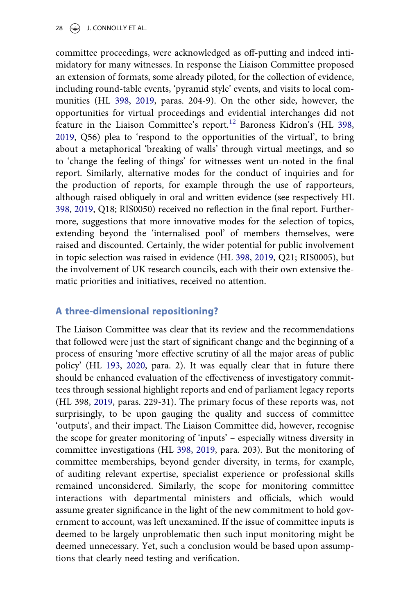committee proceedings, were acknowledged as off-putting and indeed intimidatory for many witnesses. In response the Liaison Committee proposed an extension of formats, some already piloted, for the collection of evidence, including round-table events, 'pyramid style' events, and visits to local communities (HL [398](#page-33-1), [2019,](#page-33-1) paras. 204-9). On the other side, however, the opportunities for virtual proceedings and evidential interchanges did not feature in the Liaison Committee's report.<sup>[12](#page-31-3)</sup> Baroness Kidron's (HL [398,](#page-33-1) [2019](#page-33-1), Q56) plea to 'respond to the opportunities of the virtual', to bring about a metaphorical 'breaking of walls' through virtual meetings, and so to 'change the feeling of things' for witnesses went un-noted in the final report. Similarly, alternative modes for the conduct of inquiries and for the production of reports, for example through the use of rapporteurs, although raised obliquely in oral and written evidence (see respectively HL [398](#page-33-1), [2019,](#page-33-1) Q18; RIS0050) received no reflection in the final report. Furthermore, suggestions that more innovative modes for the selection of topics, extending beyond the 'internalised pool' of members themselves, were raised and discounted. Certainly, the wider potential for public involvement in topic selection was raised in evidence (HL [398,](#page-33-1) [2019](#page-33-1), Q21; RIS0005), but the involvement of UK research councils, each with their own extensive thematic priorities and initiatives, received no attention.

### A three-dimensional repositioning?

The Liaison Committee was clear that its review and the recommendations that followed were just the start of significant change and the beginning of a process of ensuring 'more effective scrutiny of all the major areas of public policy' (HL [193,](#page-33-2) [2020,](#page-33-2) para. 2). It was equally clear that in future there should be enhanced evaluation of the effectiveness of investigatory committees through sessional highlight reports and end of parliament legacy reports (HL 398, [2019,](#page-33-1) paras. 229-31). The primary focus of these reports was, not surprisingly, to be upon gauging the quality and success of committee 'outputs', and their impact. The Liaison Committee did, however, recognise the scope for greater monitoring of 'inputs' – especially witness diversity in committee investigations (HL [398](#page-33-1), [2019](#page-33-1), para. 203). But the monitoring of committee memberships, beyond gender diversity, in terms, for example, of auditing relevant expertise, specialist experience or professional skills remained unconsidered. Similarly, the scope for monitoring committee interactions with departmental ministers and officials, which would assume greater significance in the light of the new commitment to hold government to account, was left unexamined. If the issue of committee inputs is deemed to be largely unproblematic then such input monitoring might be deemed unnecessary. Yet, such a conclusion would be based upon assumptions that clearly need testing and verification.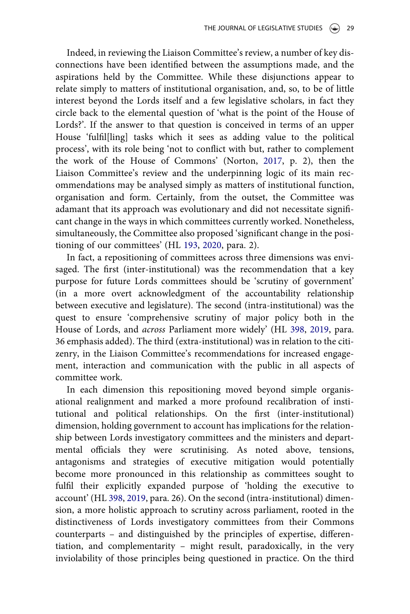Indeed, in reviewing the Liaison Committee's review, a number of key disconnections have been identified between the assumptions made, and the aspirations held by the Committee. While these disjunctions appear to relate simply to matters of institutional organisation, and, so, to be of little interest beyond the Lords itself and a few legislative scholars, in fact they circle back to the elemental question of 'what is the point of the House of Lords?'. If the answer to that question is conceived in terms of an upper House 'fulfil[ling] tasks which it sees as adding value to the political process', with its role being 'not to conflict with but, rather to complement the work of the House of Commons' (Norton, [2017,](#page-34-1) p. 2), then the Liaison Committee's review and the underpinning logic of its main recommendations may be analysed simply as matters of institutional function, organisation and form. Certainly, from the outset, the Committee was adamant that its approach was evolutionary and did not necessitate significant change in the ways in which committees currently worked. Nonetheless, simultaneously, the Committee also proposed 'significant change in the positioning of our committees' (HL [193](#page-33-2), [2020](#page-33-2), para. 2).

In fact, a repositioning of committees across three dimensions was envisaged. The first (inter-institutional) was the recommendation that a key purpose for future Lords committees should be 'scrutiny of government' (in a more overt acknowledgment of the accountability relationship between executive and legislature). The second (intra-institutional) was the quest to ensure 'comprehensive scrutiny of major policy both in the House of Lords, and across Parliament more widely' (HL [398,](#page-33-1) [2019,](#page-33-1) para. 36 emphasis added). The third (extra-institutional) was in relation to the citizenry, in the Liaison Committee's recommendations for increased engagement, interaction and communication with the public in all aspects of committee work.

In each dimension this repositioning moved beyond simple organisational realignment and marked a more profound recalibration of institutional and political relationships. On the first (inter-institutional) dimension, holding government to account has implications for the relationship between Lords investigatory committees and the ministers and departmental officials they were scrutinising. As noted above, tensions, antagonisms and strategies of executive mitigation would potentially become more pronounced in this relationship as committees sought to fulfil their explicitly expanded purpose of 'holding the executive to account' (HL [398,](#page-33-1) [2019](#page-33-1), para. 26). On the second (intra-institutional) dimension, a more holistic approach to scrutiny across parliament, rooted in the distinctiveness of Lords investigatory committees from their Commons counterparts – and distinguished by the principles of expertise, differentiation, and complementarity – might result, paradoxically, in the very inviolability of those principles being questioned in practice. On the third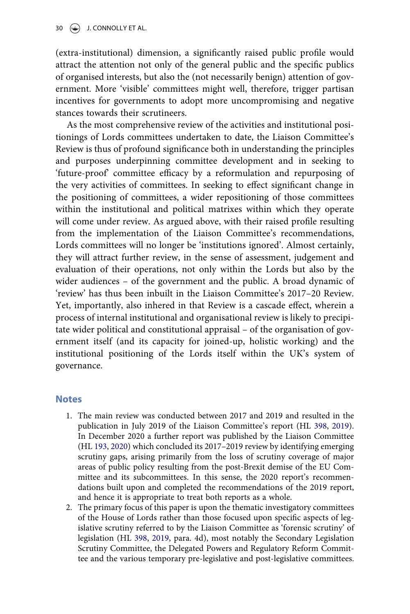(extra-institutional) dimension, a significantly raised public profile would attract the attention not only of the general public and the specific publics of organised interests, but also the (not necessarily benign) attention of government. More 'visible' committees might well, therefore, trigger partisan incentives for governments to adopt more uncompromising and negative stances towards their scrutineers.

As the most comprehensive review of the activities and institutional positionings of Lords committees undertaken to date, the Liaison Committee's Review is thus of profound significance both in understanding the principles and purposes underpinning committee development and in seeking to 'future-proof' committee efficacy by a reformulation and repurposing of the very activities of committees. In seeking to effect significant change in the positioning of committees, a wider repositioning of those committees within the institutional and political matrixes within which they operate will come under review. As argued above, with their raised profile resulting from the implementation of the Liaison Committee's recommendations, Lords committees will no longer be 'institutions ignored'. Almost certainly, they will attract further review, in the sense of assessment, judgement and evaluation of their operations, not only within the Lords but also by the wider audiences – of the government and the public. A broad dynamic of 'review' has thus been inbuilt in the Liaison Committee's 2017–20 Review. Yet, importantly, also inhered in that Review is a cascade effect, wherein a process of internal institutional and organisational review is likely to precipitate wider political and constitutional appraisal – of the organisation of government itself (and its capacity for joined-up, holistic working) and the institutional positioning of the Lords itself within the UK's system of governance.

#### <span id="page-29-0"></span>**Notes**

- 1. The main review was conducted between 2017 and 2019 and resulted in the publication in July 2019 of the Liaison Committee's report (HL [398,](#page-33-1) [2019\)](#page-33-1). In December 2020 a further report was published by the Liaison Committee (HL [193](#page-33-2), [2020\)](#page-33-2) which concluded its 2017–2019 review by identifying emerging scrutiny gaps, arising primarily from the loss of scrutiny coverage of major areas of public policy resulting from the post-Brexit demise of the EU Committee and its subcommittees. In this sense, the 2020 report's recommendations built upon and completed the recommendations of the 2019 report, and hence it is appropriate to treat both reports as a whole.
- <span id="page-29-1"></span>2. The primary focus of this paper is upon the thematic investigatory committees of the House of Lords rather than those focused upon specific aspects of legislative scrutiny referred to by the Liaison Committee as 'forensic scrutiny' of legislation (HL [398,](#page-33-1) [2019](#page-33-1), para. 4d), most notably the Secondary Legislation Scrutiny Committee, the Delegated Powers and Regulatory Reform Committee and the various temporary pre-legislative and post-legislative committees.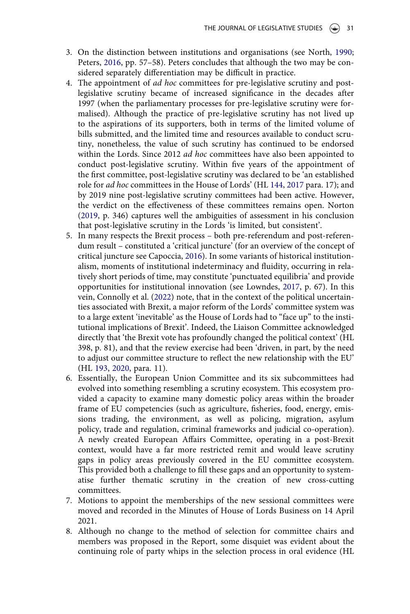- <span id="page-30-7"></span><span id="page-30-0"></span>3. On the distinction between institutions and organisations (see North, [1990](#page-34-20); Peters, [2016](#page-35-19), pp. 57–58). Peters concludes that although the two may be considered separately differentiation may be difficult in practice.
- <span id="page-30-1"></span>4. The appointment of ad hoc committees for pre-legislative scrutiny and postlegislative scrutiny became of increased significance in the decades after 1997 (when the parliamentary processes for pre-legislative scrutiny were formalised). Although the practice of pre-legislative scrutiny has not lived up to the aspirations of its supporters, both in terms of the limited volume of bills submitted, and the limited time and resources available to conduct scrutiny, nonetheless, the value of such scrutiny has continued to be endorsed within the Lords. Since 2012 *ad hoc* committees have also been appointed to conduct post-legislative scrutiny. Within five years of the appointment of the first committee, post-legislative scrutiny was declared to be 'an established role for ad hoc committees in the House of Lords' (HL [144](#page-33-11), [2017](#page-33-11) para. 17); and by 2019 nine post-legislative scrutiny committees had been active. However, the verdict on the effectiveness of these committees remains open. Norton [\(2019,](#page-35-11) p. 346) captures well the ambiguities of assessment in his conclusion that post-legislative scrutiny in the Lords 'is limited, but consistent'.
- <span id="page-30-6"></span><span id="page-30-2"></span>5. In many respects the Brexit process – both pre-referendum and post-referendum result – constituted a 'critical juncture' (for an overview of the concept of critical juncture see Capoccia, [2016](#page-32-12)). In some variants of historical institutionalism, moments of institutional indeterminacy and fluidity, occurring in relatively short periods of time, may constitute 'punctuated equilibria' and provide opportunities for institutional innovation (see Lowndes, [2017](#page-34-4), p. 67). In this vein, Connolly et al. [\(2022\)](#page-32-0) note, that in the context of the political uncertainties associated with Brexit, a major reform of the Lords' committee system was to a large extent 'inevitable' as the House of Lords had to "face up" to the institutional implications of Brexit'. Indeed, the Liaison Committee acknowledged directly that 'the Brexit vote has profoundly changed the political context' (HL 398, p. 81), and that the review exercise had been 'driven, in part, by the need to adjust our committee structure to reflect the new relationship with the EU' (HL [193](#page-33-2), [2020](#page-33-2), para. 11).
- <span id="page-30-3"></span>6. Essentially, the European Union Committee and its six subcommittees had evolved into something resembling a scrutiny ecosystem. This ecosystem provided a capacity to examine many domestic policy areas within the broader frame of EU competencies (such as agriculture, fisheries, food, energy, emissions trading, the environment, as well as policing, migration, asylum policy, trade and regulation, criminal frameworks and judicial co-operation). A newly created European Affairs Committee, operating in a post-Brexit context, would have a far more restricted remit and would leave scrutiny gaps in policy areas previously covered in the EU committee ecosystem. This provided both a challenge to fill these gaps and an opportunity to systematise further thematic scrutiny in the creation of new cross-cutting committees.
- <span id="page-30-4"></span>7. Motions to appoint the memberships of the new sessional committees were moved and recorded in the Minutes of House of Lords Business on 14 April 2021.
- <span id="page-30-5"></span>8. Although no change to the method of selection for committee chairs and members was proposed in the Report, some disquiet was evident about the continuing role of party whips in the selection process in oral evidence (HL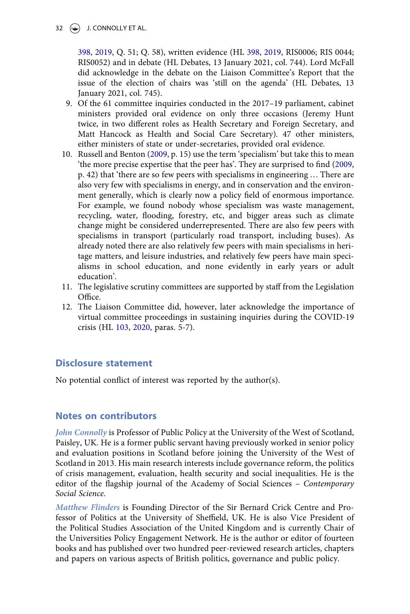[398,](#page-33-1) [2019,](#page-33-1) Q. 51; Q. 58), written evidence (HL [398](#page-33-1), [2019](#page-33-1), RIS0006; RIS 0044; RIS0052) and in debate (HL Debates, 13 January 2021, col. 744). Lord McFall did acknowledge in the debate on the Liaison Committee's Report that the issue of the election of chairs was 'still on the agenda' (HL Debates, 13 January 2021, col. 745).

- <span id="page-31-0"></span>9. Of the 61 committee inquiries conducted in the 2017–19 parliament, cabinet ministers provided oral evidence on only three occasions (Jeremy Hunt twice, in two different roles as Health Secretary and Foreign Secretary, and Matt Hancock as Health and Social Care Secretary). 47 other ministers, either ministers of state or under-secretaries, provided oral evidence.
- <span id="page-31-1"></span>10. Russell and Benton [\(2009](#page-35-17), p. 15) use the term 'specialism' but take this to mean 'the more precise expertise that the peer has'. They are surprised to find ([2009](#page-35-17), p. 42) that 'there are so few peers with specialisms in engineering … There are also very few with specialisms in energy, and in conservation and the environment generally, which is clearly now a policy field of enormous importance. For example, we found nobody whose specialism was waste management, recycling, water, flooding, forestry, etc, and bigger areas such as climate change might be considered underrepresented. There are also few peers with specialisms in transport (particularly road transport, including buses). As already noted there are also relatively few peers with main specialisms in heritage matters, and leisure industries, and relatively few peers have main specialisms in school education, and none evidently in early years or adult education'.
- <span id="page-31-2"></span>11. The legislative scrutiny committees are supported by staff from the Legislation Office.
- <span id="page-31-4"></span><span id="page-31-3"></span>12. The Liaison Committee did, however, later acknowledge the importance of virtual committee proceedings in sustaining inquiries during the COVID-19 crisis (HL [103,](#page-33-22) [2020,](#page-33-22) paras. 5-7).

### Disclosure statement

No potential conflict of interest was reported by the author(s).

#### Notes on contributors

John Connolly is Professor of Public Policy at the University of the West of Scotland, Paisley, UK. He is a former public servant having previously worked in senior policy and evaluation positions in Scotland before joining the University of the West of Scotland in 2013. His main research interests include governance reform, the politics of crisis management, evaluation, health security and social inequalities. He is the editor of the flagship journal of the Academy of Social Sciences – Contemporary Social Science.

Matthew Flinders is Founding Director of the Sir Bernard Crick Centre and Professor of Politics at the University of Sheffield, UK. He is also Vice President of the Political Studies Association of the United Kingdom and is currently Chair of the Universities Policy Engagement Network. He is the author or editor of fourteen books and has published over two hundred peer-reviewed research articles, chapters and papers on various aspects of British politics, governance and public policy.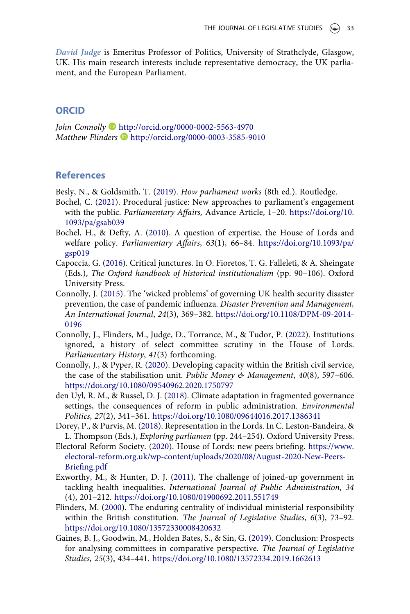David Judge is Emeritus Professor of Politics, University of Strathclyde, Glasgow, UK. His main research interests include representative democracy, the UK parliament, and the European Parliament.

#### **ORCID**

John Connolly <http://orcid.org/0000-0002-5563-4970> Matthew Flinders  $\blacksquare$  <http://orcid.org/0000-0003-3585-9010>

### **References**

- <span id="page-32-3"></span><span id="page-32-1"></span>Besly, N., & Goldsmith, T. ([2019\)](#page-1-0). How parliament works (8th ed.). Routledge.
- Bochel, C. [\(2021](#page-7-0)). Procedural justice: New approaches to parliament's engagement with the public. *Parliamentary Affairs*, Advance Article, 1–20. [https://doi.org/10.](https://doi.org/10.1093/pa/gsab039) [1093/pa/gsab039](https://doi.org/10.1093/pa/gsab039)
- <span id="page-32-10"></span>Bochel, H., & Defty, A. ([2010\)](#page-24-0). A question of expertise, the House of Lords and welfare policy. Parliamentary Affairs, 63(1), 66–84. [https://doi.org/10.1093/pa/](https://doi.org/10.1093/pa/gsp019) [gsp019](https://doi.org/10.1093/pa/gsp019)
- <span id="page-32-12"></span>Capoccia, G. [\(2016](#page-30-6)). Critical junctures. In O. Fioretos, T. G. Falleleti, & A. Sheingate (Eds.), The Oxford handbook of historical institutionalism (pp. 90–106). Oxford University Press.
- <span id="page-32-5"></span>Connolly, J. [\(2015\)](#page-21-0). The 'wicked problems' of governing UK health security disaster prevention, the case of pandemic influenza. Disaster Prevention and Management, An International Journal, 24(3), 369–382. [https://doi.org/10.1108/DPM-09-2014-](https://doi.org/10.1108/DPM-09-2014-0196) [0196](https://doi.org/10.1108/DPM-09-2014-0196)
- <span id="page-32-0"></span>Connolly, J., Flinders, M., Judge, D., Torrance, M., & Tudor, P. [\(2022\)](#page-0-0). Institutions ignored, a history of select committee scrutiny in the House of Lords. Parliamentary History, 41(3) forthcoming.
- <span id="page-32-6"></span>Connolly, J., & Pyper, R. ([2020](#page-21-0)). Developing capacity within the British civil service, the case of the stabilisation unit. Public Money & Management,  $40(8)$ , 597-606. <https://doi.org/10.1080/09540962.2020.1750797>
- <span id="page-32-7"></span>den Uyl, R. M., & Russel, D. J. [\(2018\)](#page-21-0). Climate adaptation in fragmented governance settings, the consequences of reform in public administration. Environmental Politics, 27(2), 341–361. <https://doi.org/10.1080/09644016.2017.1386341>
- <span id="page-32-4"></span>Dorey, P., & Purvis, M. [\(2018\)](#page-7-1). Representation in the Lords. In C. Leston-Bandeira, & L. Thompson (Eds.), Exploring parliamen (pp. 244–254). Oxford University Press.
- <span id="page-32-11"></span>Electoral Reform Society. [\(2020](#page-24-1)). House of Lords: new peers briefing. [https://www.](https://www.electoral-reform.org.uk/wp-content/uploads/2020/08/August-2020-New-Peers-Briefing.pdf) [electoral-reform.org.uk/wp-content/uploads/2020/08/August-2020-New-Peers-](https://www.electoral-reform.org.uk/wp-content/uploads/2020/08/August-2020-New-Peers-Briefing.pdf)Briefi[ng.pdf](https://www.electoral-reform.org.uk/wp-content/uploads/2020/08/August-2020-New-Peers-Briefing.pdf)
- <span id="page-32-8"></span>Exworthy, M., & Hunter, D. J. ([2011\)](#page-21-1). The challenge of joined-up government in tackling health inequalities. International Journal of Public Administration, 34 (4), 201–212. <https://doi.org/10.1080/01900692.2011.551749>
- <span id="page-32-9"></span>Flinders, M. [\(2000](#page-22-0)). The enduring centrality of individual ministerial responsibility within the British constitution. The Journal of Legislative Studies, 6(3), 73–92. <https://doi.org/10.1080/13572330008420632>
- <span id="page-32-2"></span>Gaines, B. J., Goodwin, M., Holden Bates, S., & Sin, G. ([2019\)](#page-3-0). Conclusion: Prospects for analysing committees in comparative perspective. The Journal of Legislative Studies, 25(3), 434–441. <https://doi.org/10.1080/13572334.2019.1662613>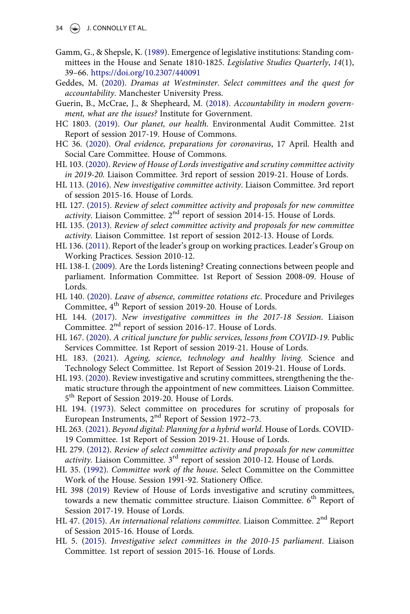- $34 \quad \circledast$  J. CONNOLLY ET AL.
- <span id="page-33-3"></span>Gamm, G., & Shepsle, K. [\(1989](#page-3-1)). Emergence of legislative institutions: Standing committees in the House and Senate 1810-1825. Legislative Studies Quarterly, 14(1), 39–66. <https://doi.org/10.2307/440091>
- <span id="page-33-0"></span>Geddes, M. [\(2020](#page-0-1)). Dramas at Westminster. Select committees and the quest for accountability. Manchester University Press.
- <span id="page-33-15"></span>Guerin, B., McCrae, J., & Shepheard, M. [\(2018\)](#page-21-2). Accountability in modern government, what are the issues? Institute for Government.
- <span id="page-33-16"></span>HC 1803. ([2019\)](#page-21-2). Our planet, our health. Environmental Audit Committee. 21st Report of session 2017-19. House of Commons.
- <span id="page-33-20"></span>HC 36. ([2020](#page-23-0)). Oral evidence, preparations for coronavirus, 17 April. Health and Social Care Committee. House of Commons.
- <span id="page-33-22"></span>HL 103. [\(2020\)](#page-31-4). Review of House of Lords investigative and scrutiny committee activity in 2019-20. Liaison Committee. 3rd report of session 2019-21. House of Lords.
- <span id="page-33-10"></span>HL 113. [\(2016\)](#page-10-0). New investigative committee activity. Liaison Committee. 3rd report of session 2015-16. House of Lords.
- <span id="page-33-8"></span>HL 127. ([2015](#page-10-1)). Review of select committee activity and proposals for new committee activity. Liaison Committee.  $2<sup>nd</sup>$  report of session 2014-15. House of Lords.
- <span id="page-33-13"></span>HL 135. ([2013](#page-15-1)). Review of select committee activity and proposals for new committee activity. Liaison Committee. 1st report of session 2012-13. House of Lords.
- <span id="page-33-9"></span>HL 136. [\(2011\)](#page-10-2). Report of the leader's group on working practices. Leader's Group on Working Practices. Session 2010-12.
- <span id="page-33-4"></span>HL 138-I. ([2009\)](#page-7-2). Are the Lords listening? Creating connections between people and parliament. Information Committee. 1st Report of Session 2008-09. House of Lords.
- <span id="page-33-21"></span>HL 140. [\(2020](#page-25-0)). Leave of absence, committee rotations etc. Procedure and Privileges Committee, 4<sup>th</sup> Report of session 2019-20. House of Lords.
- <span id="page-33-11"></span>HL 144. ([2017\)](#page-10-3). New investigative committees in the 2017-18 Session. Liaison Committee. 2<sup>nd</sup> report of session 2016-17. House of Lords.
- <span id="page-33-19"></span>HL 167. [\(2020\)](#page-23-1). A critical juncture for public services, lessons from COVID-19. Public Services Committee. 1st Report of session 2019-21. House of Lords.
- <span id="page-33-17"></span>HL 183. [\(2021](#page-21-3)). Ageing, science, technology and healthy living. Science and Technology Select Committee. 1st Report of Session 2019-21. House of Lords.
- <span id="page-33-2"></span>HL 193. [\(2020\)](#page-1-1). Review investigative and scrutiny committees, strengthening the thematic structure through the appointment of new committees. Liaison Committee. 5<sup>th</sup> Report of Session 2019-20. House of Lords.
- <span id="page-33-12"></span>HL 194. [\(1973\)](#page-15-2). Select committee on procedures for scrutiny of proposals for European Instruments, 2nd Report of Session 1972–73.
- <span id="page-33-18"></span>HL 263. [\(2021\)](#page-22-1). Beyond digital: Planning for a hybrid world. House of Lords. COVID-19 Committee. 1st Report of Session 2019-21. House of Lords.
- <span id="page-33-6"></span>HL 279. ([2012](#page-10-3)). Review of select committee activity and proposals for new committee *activity*. Liaison Committee.  $3<sup>rd</sup>$  report of session 2010-12. House of Lords.
- <span id="page-33-5"></span>HL 35. [\(1992\)](#page-8-0). Committee work of the house. Select Committee on the Committee Work of the House. Session 1991-92. Stationery Office.
- <span id="page-33-1"></span>HL 398 [\(2019](#page-1-1)) Review of House of Lords investigative and scrutiny committees, towards a new thematic committee structure. Liaison Committee. 6<sup>th</sup> Report of Session 2017-19. House of Lords.
- <span id="page-33-14"></span>HL 47. [\(2015](#page-15-3)). An international relations committee. Liaison Committee.  $2<sup>nd</sup>$  Report of Session 2015-16. House of Lords.
- <span id="page-33-7"></span>HL 5. ([2015\)](#page-10-4). Investigative select committees in the 2010-15 parliament. Liaison Committee. 1st report of session 2015-16. House of Lords.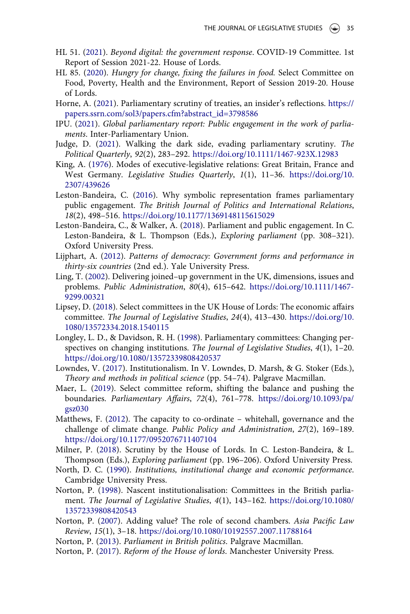- <span id="page-34-18"></span>HL 51. ([2021\)](#page-22-2). Beyond digital: the government response. COVID-19 Committee. 1st Report of Session 2021-22. House of Lords.
- <span id="page-34-17"></span>HL 85. [\(2020\)](#page-21-4). Hungry for change, fixing the failures in food. Select Committee on Food, Poverty, Health and the Environment, Report of Session 2019-20. House of Lords.
- <span id="page-34-14"></span>Horne, A. [\(2021](#page-14-0)). Parliamentary scrutiny of treaties, an insider's reflections. [https://](https://papers.ssrn.com/sol3/papers.cfm?abstract_id=3798586) [papers.ssrn.com/sol3/papers.cfm?abstract\\_id=3798586](https://papers.ssrn.com/sol3/papers.cfm?abstract_id=3798586)
- <span id="page-34-10"></span>IPU. [\(2021](#page-6-0)). Global parliamentary report: Public engagement in the work of parliaments. Inter-Parliamentary Union.
- <span id="page-34-19"></span>Judge, D. ([2021\)](#page-23-2). Walking the dark side, evading parliamentary scrutiny. The Political Quarterly, 92(2), 283–292. <https://doi.org/10.1111/1467-923X.12983>
- <span id="page-34-7"></span>King, A. ([1976](#page-3-2)). Modes of executive-legislative relations: Great Britain, France and West Germany. Legislative Studies Quarterly, 1(1), 11–36. [https://doi.org/10.](https://doi.org/10.2307/439626) [2307/439626](https://doi.org/10.2307/439626)
- <span id="page-34-11"></span>Leston-Bandeira, C. ([2016\)](#page-6-1). Why symbolic representation frames parliamentary public engagement. The British Journal of Politics and International Relations, 18(2), 498–516. <https://doi.org/10.1177/1369148115615029>
- <span id="page-34-12"></span>Leston-Bandeira, C., & Walker, A. ([2018\)](#page-6-2). Parliament and public engagement. In C. Leston-Bandeira, & L. Thompson (Eds.), Exploring parliament (pp. 308–321). Oxford University Press.
- <span id="page-34-9"></span>Lijphart, A. [\(2012](#page-5-0)). Patterns of democracy: Government forms and performance in thirty-six countries (2nd ed.). Yale University Press.
- <span id="page-34-16"></span>Ling, T. [\(2002](#page-21-2)). Delivering joined–up government in the UK, dimensions, issues and problems. Public Administration, 80(4), 615–642. [https://doi.org/10.1111/1467-](https://doi.org/10.1111/1467-9299.00321) [9299.00321](https://doi.org/10.1111/1467-9299.00321)
- <span id="page-34-13"></span>Lipsey, D. [\(2018\)](#page-7-3). Select committees in the UK House of Lords: The economic affairs committee. The Journal of Legislative Studies, 24(4), 413–430. [https://doi.org/10.](https://doi.org/10.1080/13572334.2018.1540115) [1080/13572334.2018.1540115](https://doi.org/10.1080/13572334.2018.1540115)
- <span id="page-34-5"></span>Longley, L. D., & Davidson, R. H. ([1998\)](#page-3-0). Parliamentary committees: Changing perspectives on changing institutions. The Journal of Legislative Studies, 4(1), 1–20. <https://doi.org/10.1080/13572339808420537>
- <span id="page-34-4"></span>Lowndes, V. ([2017](#page-3-3)). Institutionalism. In V. Lowndes, D. Marsh, & G. Stoker (Eds.), Theory and methods in political science (pp. 54–74). Palgrave Macmillan.
- <span id="page-34-0"></span>Maer, L. [\(2019\)](#page-0-1). Select committee reform, shifting the balance and pushing the boundaries. Parliamentary Affairs, 72(4), 761–778. [https://doi.org/10.1093/pa/](https://doi.org/10.1093/pa/gsz030) [gsz030](https://doi.org/10.1093/pa/gsz030)
- <span id="page-34-15"></span>Matthews, F. [\(2012](#page-21-2)). The capacity to co-ordinate – whitehall, governance and the challenge of climate change. Public Policy and Administration, 27(2), 169–189. <https://doi.org/10.1177/0952076711407104>
- <span id="page-34-3"></span>Milner, P. [\(2018\)](#page-1-2). Scrutiny by the House of Lords. In C. Leston-Bandeira, & L. Thompson (Eds.), Exploring parliament (pp. 196–206). Oxford University Press.
- <span id="page-34-20"></span>North, D. C. [\(1990\)](#page-30-0). Institutions, institutional change and economic performance. Cambridge University Press.
- <span id="page-34-6"></span>Norton, P. [\(1998](#page-3-1)). Nascent institutionalisation: Committees in the British parliament. The Journal of Legislative Studies, 4(1), 143–162. [https://doi.org/10.1080/](https://doi.org/10.1080/13572339808420543) [13572339808420543](https://doi.org/10.1080/13572339808420543)
- <span id="page-34-8"></span>Norton, P. ([2007\)](#page-5-1). Adding value? The role of second chambers. Asia Pacific Law Review, 15(1), 3–18. <https://doi.org/10.1080/10192557.2007.11788164>
- <span id="page-34-2"></span><span id="page-34-1"></span>Norton, P. [\(2013](#page-1-3)). Parliament in British politics. Palgrave Macmillan.
- Norton, P. [\(2017](#page-1-4)). Reform of the House of lords. Manchester University Press.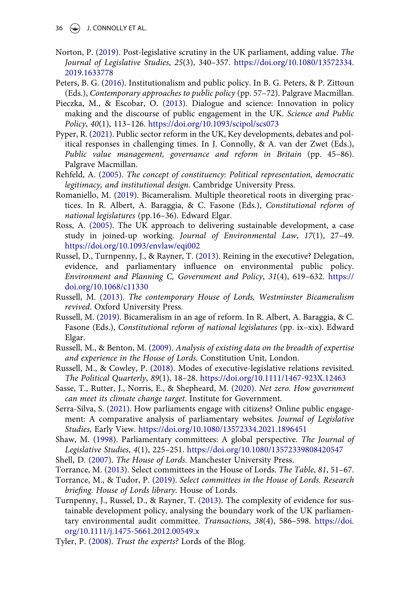- <span id="page-35-11"></span>Norton, P. ([2019\)](#page-10-5). Post-legislative scrutiny in the UK parliament, adding value. The Journal of Legislative Studies, 25(3), 340–357. [https://doi.org/10.1080/13572334.](https://doi.org/10.1080/13572334.2019.1633778) [2019.1633778](https://doi.org/10.1080/13572334.2019.1633778)
- <span id="page-35-19"></span>Peters, B. G. ([2016](#page-30-7)). Institutionalism and public policy. In B. G. Peters, & P. Zittoun (Eds.), Contemporary approaches to public policy (pp. 57–72). Palgrave Macmillan.
- <span id="page-35-8"></span>Pieczka, M., & Escobar, O. ([2013](#page-7-1)). Dialogue and science: Innovation in policy making and the discourse of public engagement in the UK. Science and Public Policy, 40(1), 113–126. <https://doi.org/10.1093/scipol/scs073>
- <span id="page-35-13"></span>Pyper, R. ([2021\)](#page-21-5). Public sector reform in the UK, Key developments, debates and political responses in challenging times. In J. Connolly, & A. van der Zwet (Eds.), Public value management, governance and reform in Britain (pp. 45–86). Palgrave Macmillan.
- <span id="page-35-6"></span>Rehfeld, A. ([2005](#page-6-3)). The concept of constituency: Political representation, democratic legitimacy, and institutional design. Cambridge University Press.
- <span id="page-35-4"></span>Romaniello, M. [\(2019\)](#page-5-2). Bicameralism. Multiple theoretical roots in diverging practices. In R. Albert, A. Baraggia, & C. Fasone (Eds.), Constitutional reform of national legislatures (pp.16–36). Edward Elgar.
- <span id="page-35-12"></span>Ross, A. ([2005\)](#page-21-1). The UK approach to delivering sustainable development, a case study in joined-up working. Journal of Environmental Law, 17(1), 27–49. <https://doi.org/10.1093/envlaw/eqi002>
- <span id="page-35-15"></span>Russel, D., Turnpenny, J., & Rayner, T. [\(2013\)](#page-22-3). Reining in the executive? Delegation, evidence, and parliamentary influence on environmental public policy. Environment and Planning C, Government and Policy, 31(4), 619–632. [https://](https://doi.org/10.1068/c11330) [doi.org/10.1068/c11330](https://doi.org/10.1068/c11330)
- <span id="page-35-0"></span>Russell, M. ([2013](#page-0-2)). The contemporary House of Lords, Westminster Bicameralism revived. Oxford University Press.
- <span id="page-35-5"></span>Russell, M. ([2019\)](#page-6-4). Bicameralism in an age of reform. In R. Albert, A. Baraggia, & C. Fasone (Eds.), Constitutional reform of national legislatures (pp. ix–xix). Edward Elgar.
- <span id="page-35-17"></span>Russell, M., & Benton, M. ([2009\)](#page-24-2). Analysis of existing data on the breadth of expertise and experience in the House of Lords. Constitution Unit, London.
- <span id="page-35-3"></span>Russell, M., & Cowley, P. [\(2018\)](#page-3-4). Modes of executive-legislative relations revisited. The Political Quarterly, 89(1), 18–28. <https://doi.org/10.1111/1467-923X.12463>
- <span id="page-35-14"></span>Sasse, T., Rutter, J., Norris, E., & Shepheard, M. [\(2020](#page-21-5)). Net zero. How government can meet its climate change target. Institute for Government.
- <span id="page-35-7"></span>Serra-Silva, S. [\(2021\)](#page-7-4). How parliaments engage with citizens? Online public engagement: A comparative analysis of parliamentary websites. Journal of Legislative Studies, Early View. <https://doi.org/10.1080/13572334.2021.1896451>
- <span id="page-35-2"></span>Shaw, M. ([1998](#page-3-1)). Parliamentary committees: A global perspective. The Journal of Legislative Studies, 4(1), 225–251. <https://doi.org/10.1080/13572339808420547>
- <span id="page-35-9"></span><span id="page-35-1"></span>Shell, D. ([2007\)](#page-1-3). The House of Lords. Manchester University Press.
- <span id="page-35-10"></span>Torrance, M. ([2013](#page-8-1)). Select committees in the House of Lords. The Table, 81, 51–67.
- Torrance, M., & Tudor, P. ([2019\)](#page-8-1). Select committees in the House of Lords. Research briefing. House of Lords library. House of Lords.
- <span id="page-35-16"></span>Turnpenny, J., Russel, D., & Rayner, T. [\(2013\)](#page-22-4). The complexity of evidence for sustainable development policy, analysing the boundary work of the UK parliamentary environmental audit committee. Transactions, 38(4), 586–598. [https://doi.](https://doi.org/10.1111/j.1475-5661.2012.00549.x) [org/10.1111/j.1475-5661.2012.00549.x](https://doi.org/10.1111/j.1475-5661.2012.00549.x)
- <span id="page-35-18"></span>Tyler, P. ([2008](#page-24-3)). Trust the experts? Lords of the Blog.